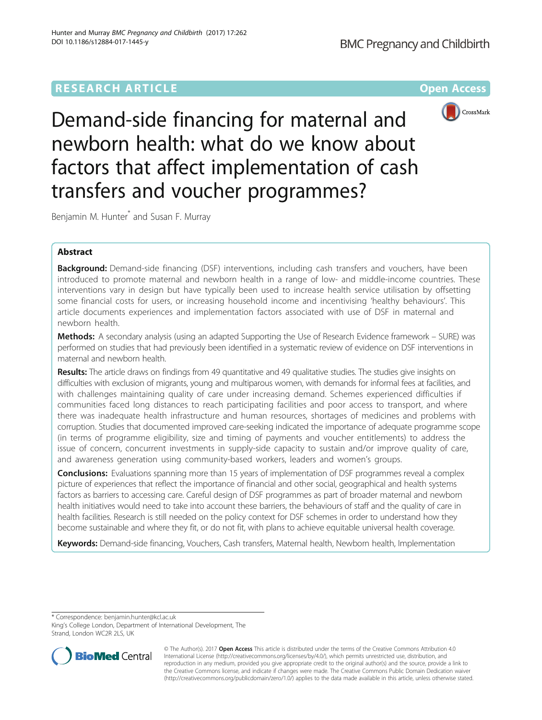# **RESEARCH ARTICLE Example 2014 12:30 The Contract of Contract ACCESS**



Demand-side financing for maternal and newborn health: what do we know about factors that affect implementation of cash transfers and voucher programmes?

Benjamin M. Hunter<sup>\*</sup> and Susan F. Murray

## Abstract

Background: Demand-side financing (DSF) interventions, including cash transfers and vouchers, have been introduced to promote maternal and newborn health in a range of low- and middle-income countries. These interventions vary in design but have typically been used to increase health service utilisation by offsetting some financial costs for users, or increasing household income and incentivising 'healthy behaviours'. This article documents experiences and implementation factors associated with use of DSF in maternal and newborn health.

Methods: A secondary analysis (using an adapted Supporting the Use of Research Evidence framework - SURE) was performed on studies that had previously been identified in a systematic review of evidence on DSF interventions in maternal and newborn health.

Results: The article draws on findings from 49 quantitative and 49 qualitative studies. The studies give insights on difficulties with exclusion of migrants, young and multiparous women, with demands for informal fees at facilities, and with challenges maintaining quality of care under increasing demand. Schemes experienced difficulties if communities faced long distances to reach participating facilities and poor access to transport, and where there was inadequate health infrastructure and human resources, shortages of medicines and problems with corruption. Studies that documented improved care-seeking indicated the importance of adequate programme scope (in terms of programme eligibility, size and timing of payments and voucher entitlements) to address the issue of concern, concurrent investments in supply-side capacity to sustain and/or improve quality of care, and awareness generation using community-based workers, leaders and women's groups.

**Conclusions:** Evaluations spanning more than 15 years of implementation of DSF programmes reveal a complex picture of experiences that reflect the importance of financial and other social, geographical and health systems factors as barriers to accessing care. Careful design of DSF programmes as part of broader maternal and newborn health initiatives would need to take into account these barriers, the behaviours of staff and the quality of care in health facilities. Research is still needed on the policy context for DSF schemes in order to understand how they become sustainable and where they fit, or do not fit, with plans to achieve equitable universal health coverage.

Keywords: Demand-side financing, Vouchers, Cash transfers, Maternal health, Newborn health, Implementation

\* Correspondence: [benjamin.hunter@kcl.ac.uk](mailto:benjamin.hunter@kcl.ac.uk)

King's College London, Department of International Development, The Strand, London WC2R 2LS, UK



© The Author(s). 2017 **Open Access** This article is distributed under the terms of the Creative Commons Attribution 4.0 International License [\(http://creativecommons.org/licenses/by/4.0/](http://creativecommons.org/licenses/by/4.0/)), which permits unrestricted use, distribution, and reproduction in any medium, provided you give appropriate credit to the original author(s) and the source, provide a link to the Creative Commons license, and indicate if changes were made. The Creative Commons Public Domain Dedication waiver [\(http://creativecommons.org/publicdomain/zero/1.0/](http://creativecommons.org/publicdomain/zero/1.0/)) applies to the data made available in this article, unless otherwise stated.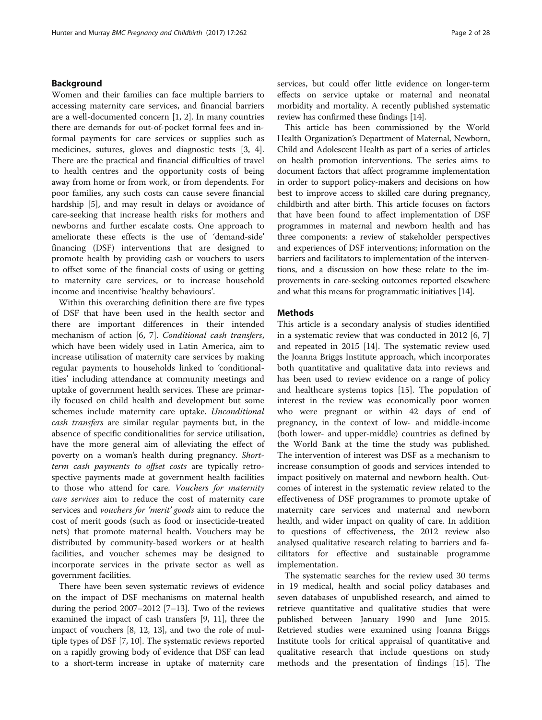## Background

Women and their families can face multiple barriers to accessing maternity care services, and financial barriers are a well-documented concern [\[1](#page-24-0), [2](#page-24-0)]. In many countries there are demands for out-of-pocket formal fees and informal payments for care services or supplies such as medicines, sutures, gloves and diagnostic tests [[3, 4](#page-24-0)]. There are the practical and financial difficulties of travel to health centres and the opportunity costs of being away from home or from work, or from dependents. For poor families, any such costs can cause severe financial hardship [[5\]](#page-24-0), and may result in delays or avoidance of care-seeking that increase health risks for mothers and newborns and further escalate costs. One approach to ameliorate these effects is the use of 'demand-side' financing (DSF) interventions that are designed to promote health by providing cash or vouchers to users to offset some of the financial costs of using or getting to maternity care services, or to increase household income and incentivise 'healthy behaviours'.

Within this overarching definition there are five types of DSF that have been used in the health sector and there are important differences in their intended mechanism of action [[6, 7\]](#page-24-0). Conditional cash transfers, which have been widely used in Latin America, aim to increase utilisation of maternity care services by making regular payments to households linked to 'conditionalities' including attendance at community meetings and uptake of government health services. These are primarily focused on child health and development but some schemes include maternity care uptake. Unconditional cash transfers are similar regular payments but, in the absence of specific conditionalities for service utilisation, have the more general aim of alleviating the effect of poverty on a woman's health during pregnancy. Shortterm cash payments to offset costs are typically retrospective payments made at government health facilities to those who attend for care. Vouchers for maternity care services aim to reduce the cost of maternity care services and vouchers for 'merit' goods aim to reduce the cost of merit goods (such as food or insecticide-treated nets) that promote maternal health. Vouchers may be distributed by community-based workers or at health facilities, and voucher schemes may be designed to incorporate services in the private sector as well as government facilities.

There have been seven systematic reviews of evidence on the impact of DSF mechanisms on maternal health during the period 2007–2012 [[7](#page-24-0)–[13](#page-25-0)]. Two of the reviews examined the impact of cash transfers [\[9](#page-24-0), [11\]](#page-25-0), three the impact of vouchers [\[8](#page-24-0), [12, 13](#page-25-0)], and two the role of multiple types of DSF [[7,](#page-24-0) [10](#page-25-0)]. The systematic reviews reported on a rapidly growing body of evidence that DSF can lead to a short-term increase in uptake of maternity care services, but could offer little evidence on longer-term effects on service uptake or maternal and neonatal morbidity and mortality. A recently published systematic review has confirmed these findings [[14](#page-25-0)].

This article has been commissioned by the World Health Organization's Department of Maternal, Newborn, Child and Adolescent Health as part of a series of articles on health promotion interventions. The series aims to document factors that affect programme implementation in order to support policy-makers and decisions on how best to improve access to skilled care during pregnancy, childbirth and after birth. This article focuses on factors that have been found to affect implementation of DSF programmes in maternal and newborn health and has three components: a review of stakeholder perspectives and experiences of DSF interventions; information on the barriers and facilitators to implementation of the interventions, and a discussion on how these relate to the improvements in care-seeking outcomes reported elsewhere and what this means for programmatic initiatives [[14](#page-25-0)].

### **Methods**

This article is a secondary analysis of studies identified in a systematic review that was conducted in 2012 [\[6](#page-24-0), [7](#page-24-0)] and repeated in 2015 [[14](#page-25-0)]. The systematic review used the Joanna Briggs Institute approach, which incorporates both quantitative and qualitative data into reviews and has been used to review evidence on a range of policy and healthcare systems topics [\[15](#page-25-0)]. The population of interest in the review was economically poor women who were pregnant or within 42 days of end of pregnancy, in the context of low- and middle-income (both lower- and upper-middle) countries as defined by the World Bank at the time the study was published. The intervention of interest was DSF as a mechanism to increase consumption of goods and services intended to impact positively on maternal and newborn health. Outcomes of interest in the systematic review related to the effectiveness of DSF programmes to promote uptake of maternity care services and maternal and newborn health, and wider impact on quality of care. In addition to questions of effectiveness, the 2012 review also analysed qualitative research relating to barriers and facilitators for effective and sustainable programme implementation.

The systematic searches for the review used 30 terms in 19 medical, health and social policy databases and seven databases of unpublished research, and aimed to retrieve quantitative and qualitative studies that were published between January 1990 and June 2015. Retrieved studies were examined using Joanna Briggs Institute tools for critical appraisal of quantitative and qualitative research that include questions on study methods and the presentation of findings [[15\]](#page-25-0). The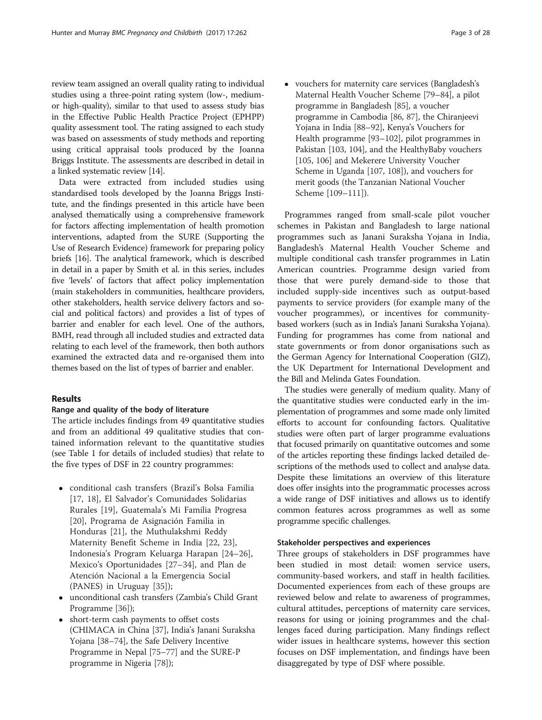review team assigned an overall quality rating to individual studies using a three-point rating system (low-, mediumor high-quality), similar to that used to assess study bias in the Effective Public Health Practice Project (EPHPP) quality assessment tool. The rating assigned to each study was based on assessments of study methods and reporting using critical appraisal tools produced by the Joanna Briggs Institute. The assessments are described in detail in a linked systematic review [\[14](#page-25-0)].

Data were extracted from included studies using standardised tools developed by the Joanna Briggs Institute, and the findings presented in this article have been analysed thematically using a comprehensive framework for factors affecting implementation of health promotion interventions, adapted from the SURE (Supporting the Use of Research Evidence) framework for preparing policy briefs [\[16](#page-25-0)]. The analytical framework, which is described in detail in a paper by Smith et al. in this series, includes five 'levels' of factors that affect policy implementation (main stakeholders in communities, healthcare providers, other stakeholders, health service delivery factors and social and political factors) and provides a list of types of barrier and enabler for each level. One of the authors, BMH, read through all included studies and extracted data relating to each level of the framework, then both authors examined the extracted data and re-organised them into themes based on the list of types of barrier and enabler.

## Results

#### Range and quality of the body of literature

The article includes findings from 49 quantitative studies and from an additional 49 qualitative studies that contained information relevant to the quantitative studies (see Table [1](#page-3-0) for details of included studies) that relate to the five types of DSF in 22 country programmes:

- conditional cash transfers (Brazil's Bolsa Familia [[17,](#page-25-0) [18\]](#page-25-0), El Salvador's Comunidades Solidarias Rurales [[19\]](#page-25-0), Guatemala's Mi Familia Progresa [[20\]](#page-25-0), Programa de Asignación Familia in Honduras [\[21](#page-25-0)], the Muthulakshmi Reddy Maternity Benefit Scheme in India [\[22](#page-25-0), [23](#page-25-0)], Indonesia's Program Keluarga Harapan [[24](#page-25-0)–[26](#page-25-0)], Mexico's Oportunidades [\[27](#page-25-0)–[34\]](#page-25-0), and Plan de Atención Nacional a la Emergencia Social (PANES) in Uruguay [\[35](#page-25-0)]);
- unconditional cash transfers (Zambia's Child Grant Programme [[36](#page-25-0)]);
- short-term cash payments to offset costs (CHIMACA in China [\[37](#page-25-0)], India's Janani Suraksha Yojana [\[38](#page-25-0)–[74](#page-26-0)], the Safe Delivery Incentive Programme in Nepal [\[75](#page-26-0)–[77](#page-26-0)] and the SURE-P programme in Nigeria [[78](#page-26-0)]);

 vouchers for maternity care services (Bangladesh's Maternal Health Voucher Scheme [[79](#page-26-0)–[84\]](#page-26-0), a pilot programme in Bangladesh [\[85](#page-26-0)], a voucher programme in Cambodia [\[86,](#page-26-0) [87\]](#page-26-0), the Chiranjeevi Yojana in India [\[88](#page-26-0)–[92](#page-26-0)], Kenya's Vouchers for Health programme [[93](#page-26-0)–[102\]](#page-27-0), pilot programmes in Pakistan [\[103](#page-27-0), [104\]](#page-27-0), and the HealthyBaby vouchers [[105](#page-27-0), [106\]](#page-27-0) and Mekerere University Voucher Scheme in Uganda [[107,](#page-27-0) [108\]](#page-27-0)), and vouchers for merit goods (the Tanzanian National Voucher Scheme [\[109](#page-27-0)–[111\]](#page-27-0)).

Programmes ranged from small-scale pilot voucher schemes in Pakistan and Bangladesh to large national programmes such as Janani Suraksha Yojana in India, Bangladesh's Maternal Health Voucher Scheme and multiple conditional cash transfer programmes in Latin American countries. Programme design varied from those that were purely demand-side to those that included supply-side incentives such as output-based payments to service providers (for example many of the voucher programmes), or incentives for communitybased workers (such as in India's Janani Suraksha Yojana). Funding for programmes has come from national and state governments or from donor organisations such as the German Agency for International Cooperation (GIZ), the UK Department for International Development and the Bill and Melinda Gates Foundation.

The studies were generally of medium quality. Many of the quantitative studies were conducted early in the implementation of programmes and some made only limited efforts to account for confounding factors. Qualitative studies were often part of larger programme evaluations that focused primarily on quantitative outcomes and some of the articles reporting these findings lacked detailed descriptions of the methods used to collect and analyse data. Despite these limitations an overview of this literature does offer insights into the programmatic processes across a wide range of DSF initiatives and allows us to identify common features across programmes as well as some programme specific challenges.

## Stakeholder perspectives and experiences

Three groups of stakeholders in DSF programmes have been studied in most detail: women service users, community-based workers, and staff in health facilities. Documented experiences from each of these groups are reviewed below and relate to awareness of programmes, cultural attitudes, perceptions of maternity care services, reasons for using or joining programmes and the challenges faced during participation. Many findings reflect wider issues in healthcare systems, however this section focuses on DSF implementation, and findings have been disaggregated by type of DSF where possible.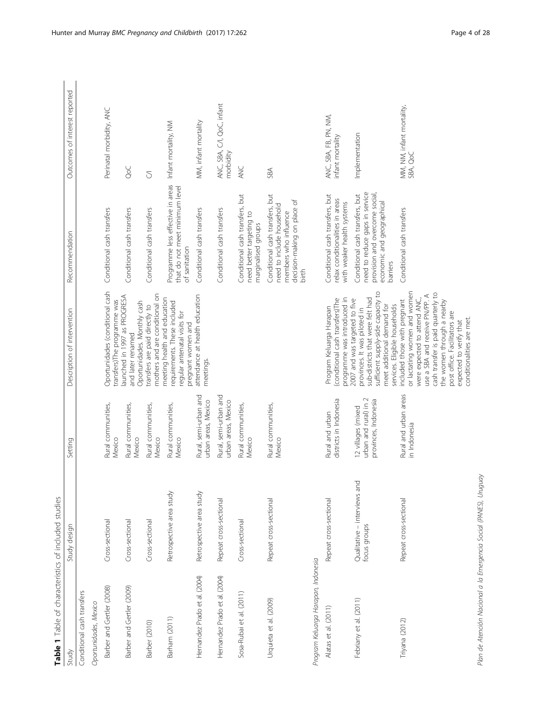<span id="page-3-0"></span>

| Table 1 Table of characteristics of included studies |                                              |                                                                     |                                                                                                                                                                                                                                                                                             |                                                                                                                                              |                                           |
|------------------------------------------------------|----------------------------------------------|---------------------------------------------------------------------|---------------------------------------------------------------------------------------------------------------------------------------------------------------------------------------------------------------------------------------------------------------------------------------------|----------------------------------------------------------------------------------------------------------------------------------------------|-------------------------------------------|
| Study                                                | Study design                                 | Setting                                                             | Description of intervention                                                                                                                                                                                                                                                                 | Recommendation                                                                                                                               | Outcomes of interest reported             |
| Conditional cash transfers                           |                                              |                                                                     |                                                                                                                                                                                                                                                                                             |                                                                                                                                              |                                           |
| Oportunidades, Mexico                                |                                              |                                                                     |                                                                                                                                                                                                                                                                                             |                                                                                                                                              |                                           |
| Barber and Gertler (2008)                            | Cross-sectional                              | Rural communities,<br>Mexico                                        | Oportunidades (conditional cash<br>transfers)The programme was                                                                                                                                                                                                                              | Conditional cash transfers                                                                                                                   | Perinatal morbidity, ANC                  |
| Barber and Gertler (2009)                            | Cross-sectional                              | Rural communities,<br>Mexico                                        | launched in 1997 as PROGRESA<br>Oportunidades. Monthly cash<br>and later renamed                                                                                                                                                                                                            | Conditional cash transfers                                                                                                                   | <b>Soc</b>                                |
| Barber (2010)                                        | Cross-sectional                              | Rural communities,<br>Mexico                                        | mothers and are conditional on<br>transfers are paid directly to                                                                                                                                                                                                                            | Conditional cash transfers                                                                                                                   | $\overline{S}$                            |
| Barham (2011)                                        | Retrospective area study                     | Rural communities,<br>Mexico                                        | meeting health and education<br>requirements. These included<br>regular antenatal visits for<br>pregnant women and                                                                                                                                                                          | Programme less effective in areas<br>that do not meet minimum level<br>of sanitation                                                         | Infant mortality, NM                      |
| Hernandez Prado et al. (2004)                        | Retrospective area study                     | Rural, semi-urban and<br>urban areas, Mexico                        | attendance at health education<br>meetings.                                                                                                                                                                                                                                                 | Conditional cash transfers                                                                                                                   | MM, infant mortality                      |
| Hernandez Prado et al. (2004)                        | Repeat cross-sectional                       | Rural, semi-urban and<br>urban areas, Mexico                        |                                                                                                                                                                                                                                                                                             | Conditional cash transfers                                                                                                                   | ANC, SBA, C/I, QoC, infant<br>morbidity   |
| Sosa-Rubai et al. (2011)                             | Cross-sectional                              | Rural communities,<br>Mexico                                        |                                                                                                                                                                                                                                                                                             | Conditional cash transfers, but<br>need better targeting to<br>marginalised groups                                                           | ANC                                       |
| Urquieta et al. (2009)                               | Repeat cross-sectional                       | Rural communities,<br>Mexico                                        |                                                                                                                                                                                                                                                                                             | Conditional cash transfers, but<br>decision-making on place of<br>need to include household<br>members who influence<br>birth                | SBA                                       |
| Program Keluarga Harapan, Indonesia                  |                                              |                                                                     |                                                                                                                                                                                                                                                                                             |                                                                                                                                              |                                           |
| Alatas et al. (2011)                                 | Repeat cross-sectional                       | districts in Indonesia<br>Rural and urban                           | programme was introduced in<br>(conditional cash transfers)The<br>Program Keluarga Harapan                                                                                                                                                                                                  | Conditional cash transfers, but<br>relax conditionalities in areas<br>with weaker health systems                                             | ANC, SBA, FB, PN, NM,<br>infant mortality |
| Febriany et al. (2011)                               | Qualitative - interviews and<br>focus groups | urban and rural) in 2<br>provinces, Indonesia<br>12 villages (mixed | sufficient supply-side capacity to<br>sub-districts that were felt had<br>2007 and was targeted to five<br>meet additional demand for<br>services. Eligible households<br>provinces. It was piloted in                                                                                      | need to reduce gaps in service<br>provision and overcome social,<br>Conditional cash transfers, but<br>economic and geographical<br>parriers | Implementation                            |
| Triyana (2012)                                       | Repeat cross-sectional                       | Rural and urban areas<br>in Indonesia                               | or lactating women and women<br>cash transfer is paid quarterly to<br>use a SBA and receive PN/PP. A<br>were expected to attend ANC,<br>included those with pregnant<br>the women through a nearby<br>post office. Facilitators are<br>conditionalities are met.<br>expected to verify that | Conditional cash transfers                                                                                                                   | MM, NM, infant mortality,<br>SBA, QoC     |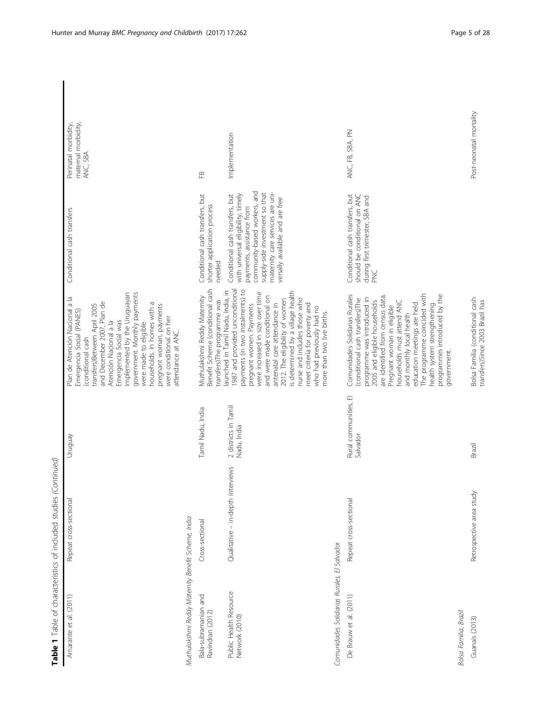|                                                    | Table 1 Table of characteristics of included studies (Continued) |                                     |                                                                                                                                                                                                                                                                                                                                                                                                                                             |                                                                                                                                                                                                                                             |                                                         |
|----------------------------------------------------|------------------------------------------------------------------|-------------------------------------|---------------------------------------------------------------------------------------------------------------------------------------------------------------------------------------------------------------------------------------------------------------------------------------------------------------------------------------------------------------------------------------------------------------------------------------------|---------------------------------------------------------------------------------------------------------------------------------------------------------------------------------------------------------------------------------------------|---------------------------------------------------------|
| Amarante et al. (2011)                             | Repeat cross-sectional                                           | Venbnun                             | implemented by the Uruguayan<br>government. Monthly payments<br>Plan de Atención Nacional a la<br>and December 2007, Plan de<br>households. In homes with a<br>transfers)Between April 2005<br>pregnant woman, payments<br>Emergencia Social (PANES)<br>were conditional on her<br>Atención Nacional a la<br>Emergencia Social was<br>were made to eligible<br>attendance at ANC.<br>(conditional cash                                      | Conditional cash transfers                                                                                                                                                                                                                  | maternal morbidity,<br>Perinatal morbidity,<br>ANC, SBA |
| Muthulakshmi Reddy Maternity Benefit Scheme, India |                                                                  |                                     |                                                                                                                                                                                                                                                                                                                                                                                                                                             |                                                                                                                                                                                                                                             |                                                         |
| Bala-subramanian and<br>Ravindran (2012)           | Cross-sectional                                                  | Tamil Nadu, India                   | Benefit Scheme (conditional cash<br>Muthulakshmi Reddy Maternity<br>transfers)The programme was                                                                                                                                                                                                                                                                                                                                             | Conditional cash transfers, but<br>shorter application process<br>needed                                                                                                                                                                    | EB                                                      |
| Public Health Resource<br>Network (2010)           | Qualitative - in-depth interviews                                | 2 districts in Tamil<br>Nadu, India | 1987 and provided unconditional<br>payments (in two instalments) to<br>launched in Tamil Nadu, India, in<br>is determined by a village health<br>were increased in size over time<br>and were made conditional on<br>nurse and includes those who<br>2012. The eligibility of women<br>antenatal care attendance in<br>meet criteria for poverty and<br>pregnant women. Payments<br>who had previously had no<br>more than two live births. | community-based workers, and<br>supply-side investment so that<br>maternity care services are uni-<br>with universal eligibility, timely<br>Conditional cash transfers, but<br>versally available and are free<br>payments, assistance from | Implementation                                          |
| Comunidades Solidarias Rurales, El Salvador        |                                                                  |                                     |                                                                                                                                                                                                                                                                                                                                                                                                                                             |                                                                                                                                                                                                                                             |                                                         |
| De Brauw et al. (2011)                             | Repeat cross-sectional                                           | Rural communities, El<br>Salvador   | The programme coincided with<br>programmes introduced by the<br>Comunidades Solidarias Rurales<br>are identified from census data.<br>programme was introduced in<br>(conditional cash transfers)The<br>2005 and eligible households<br>households must attend ANC<br>education meetings are held.<br>health system strengthening<br>Pregnant woman in eligible<br>and monthly local health<br>government.                                  | Conditional cash transfers, but<br>should be conditional on ANC<br>during first trimester, SBA and<br>$\geq$                                                                                                                                | ANC, FB, SBA, PN                                        |
| Bolsa Familia, Brazil                              |                                                                  |                                     |                                                                                                                                                                                                                                                                                                                                                                                                                                             |                                                                                                                                                                                                                                             |                                                         |
| Guanais (2013)                                     | Retrospective area study                                         | Brazil                              | Bolsa Familia (conditional cash<br>transfers)Since 2003 Brazil has                                                                                                                                                                                                                                                                                                                                                                          |                                                                                                                                                                                                                                             | Post-neonatal mortality                                 |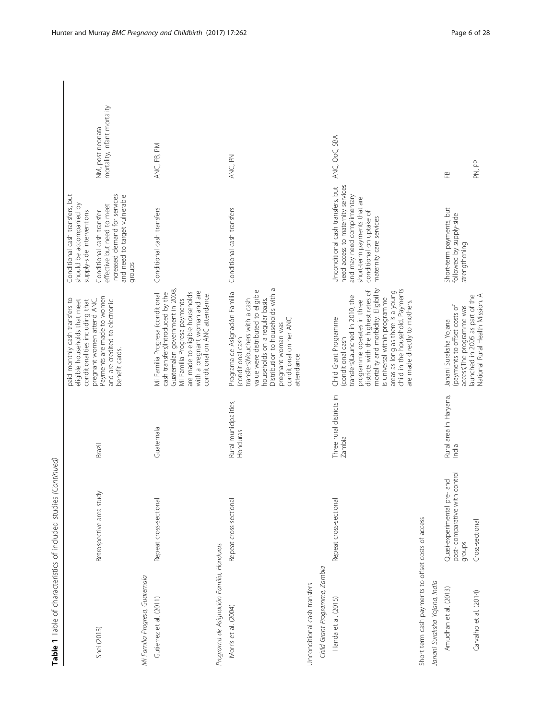|                                                    | Table 1 Table of characteristics of included studies (Continued)       |                                    |                                                                                                                                                                                                                                                                                                                                        |                                                                                                                                                                                                                                 |                                                  |
|----------------------------------------------------|------------------------------------------------------------------------|------------------------------------|----------------------------------------------------------------------------------------------------------------------------------------------------------------------------------------------------------------------------------------------------------------------------------------------------------------------------------------|---------------------------------------------------------------------------------------------------------------------------------------------------------------------------------------------------------------------------------|--------------------------------------------------|
| Shei (2013)                                        | Retrospective area study                                               | Brazil                             | Payments are made to women<br>paid monthly cash transfers to<br>pregnant women attend ANC.<br>conditionalities including that<br>and are credited to electronic<br>eligible households that meet<br>benefit cards.                                                                                                                     | increased demand for services<br>Conditional cash transfers, but<br>and need to target vulnerable<br>should be accompanied by<br>effective but need to meet<br>supply-side interventions<br>Conditional cash transfer<br>groups | mortality, infant mortality<br>NM, post-neonatal |
| Mi Familia Progresa, Guatemala                     |                                                                        |                                    |                                                                                                                                                                                                                                                                                                                                        |                                                                                                                                                                                                                                 |                                                  |
| Gutierrez et al. (2011)                            | Repeat cross-sectional                                                 | Guatemala                          | Guatemalan government in 2008,<br>with a pregnant woman and are<br>are made to eligible households<br>cash transfers)Introduced by the<br>Mi Familia Progresa (conditional<br>conditional on ANC attendance.<br>Mi Familia Progresa payments                                                                                           | Conditional cash transfers                                                                                                                                                                                                      | ANC, FB, PM                                      |
| Programa de Asignación Familia, Honduras           |                                                                        |                                    |                                                                                                                                                                                                                                                                                                                                        |                                                                                                                                                                                                                                 |                                                  |
| Morris et al. (2004)                               | Repeat cross-sectional                                                 | Rural municipalities,<br>Honduras  | Distribution to households with a<br>value were distributed to eligible<br>Programa de Asignación Familia<br>households on a regular basis.<br>transfers)Vouchers with a cash<br>conditional on her ANC<br>pregnant woman was<br>(conditional cash<br>attendance.                                                                      | Conditional cash transfers                                                                                                                                                                                                      | ANC, PN                                          |
| Unconditional cash transfers                       |                                                                        |                                    |                                                                                                                                                                                                                                                                                                                                        |                                                                                                                                                                                                                                 |                                                  |
| Child Grant Programme, Zambia                      |                                                                        |                                    |                                                                                                                                                                                                                                                                                                                                        |                                                                                                                                                                                                                                 |                                                  |
| Handa et al. (2015)                                | Repeat cross-sectional                                                 | Three rural districts in<br>Zambia | mortality and morbidity. Eligibility<br>child in the household. Payments<br>districts with the highest rates of<br>areas as long as there is a young<br>transfers)Launched in 2010, the<br>is universal within programme<br>programme operates in three<br>are made directly to mothers.<br>Child Grant Programme<br>(conditional cash | Unconditional cash transfers, but<br>need access to maternity services<br>and may need complimentary<br>short-term payments that are<br>conditional on uptake of<br>maternity care services                                     | ANC, QoC, SBA                                    |
| Short term cash payments to offset costs of access |                                                                        |                                    |                                                                                                                                                                                                                                                                                                                                        |                                                                                                                                                                                                                                 |                                                  |
| Janani Suraksha Yojana, India                      |                                                                        |                                    |                                                                                                                                                                                                                                                                                                                                        |                                                                                                                                                                                                                                 |                                                  |
| Amudhan et al. (2013)                              | post-comparative with control<br>Quasi-experimental pre- and<br>groups | Rural area in Haryana,<br>India    | (payments to offset costs of<br>access)The programme was<br>Janani Suraksha Yojana                                                                                                                                                                                                                                                     | Short-term payments, but<br>followed by supply-side<br>strengthening                                                                                                                                                            | EB                                               |
| Carvalho et al. (2014)                             | Cross-sectional                                                        |                                    | National Rural Health Mission. A<br>launched in 2005 as part of the                                                                                                                                                                                                                                                                    |                                                                                                                                                                                                                                 | PN, PP                                           |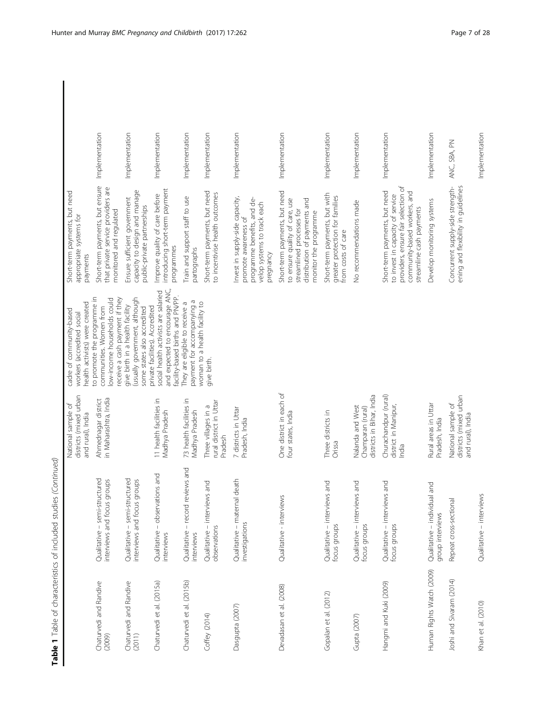|                                  |                                                              | districts (mixed urban<br>National sample of<br>and rural), India  | health activists) were created<br>cadre of community-based<br>workers (accredited social                                                      | Short-term payments, but need<br>appropriate systems for<br>payments                                                                                                 |                |  |
|----------------------------------|--------------------------------------------------------------|--------------------------------------------------------------------|-----------------------------------------------------------------------------------------------------------------------------------------------|----------------------------------------------------------------------------------------------------------------------------------------------------------------------|----------------|--|
| Chaturvedi and Randive<br>(2009) | Qualitative - semi-structured<br>interviews and focus groups | in Maharashtra, India<br>Ahmednagar district                       | to promote the programme in<br>low-income households could<br>receive a cash payment if they<br>communities. Women from                       | Short-term payments, but ensure<br>that private service providers are<br>monitored and regulated                                                                     | Implementation |  |
| Chaturvedi and Randive<br>(2011) | Qualitative - semi-structured<br>interviews and focus groups |                                                                    | (usually government, although<br>give birth in a health facility<br>some states also accredited                                               | capacity to design and manage<br>Ensure sufficient government<br>public-private partnerships                                                                         | Implementation |  |
| Chaturvedi et al. (2015a)        | and<br>Qualitative - observations<br>interviews              | 11 health facilities in<br>Madhya Pradesh                          | and expected to encourage ANC,<br>social health activists are salaried<br>facility-based births and PN/PP.<br>private facilities). Accredited | introducing short-term payment<br>Improve quality of care before<br>programmes                                                                                       | Implementation |  |
| Chaturvedi et al. (2015b)        | Qualitative - record reviews and<br>interviews               | 73 health facilities in<br>Madhya Pradesh                          | payment for accompanying a<br>woman to a health facility to<br>They are eligible to receive a                                                 | Train and support staff to use<br>partographs                                                                                                                        | Implementation |  |
| Coffey (2014)                    | Ō<br>Qualitative - interviews an<br>observations             | rural district in Uttar<br>Three villages in a<br>Pradesh          | give birth.                                                                                                                                   | Short-term payments, but need<br>to incentivise health outcomes                                                                                                      | Implementation |  |
| Dasgupta (2007)                  | Qualitative - maternal death<br>investigations               | 7 districts in Uttar<br>Pradesh, India                             |                                                                                                                                               | nvest in supply-side capacity,<br>programme benefits, and de-<br>velop systems to track each<br>promote awareness of<br>pregnancy                                    | Implementation |  |
| Devadasan et al. (2008)          | Qualitative - interviews                                     | One district in each of<br>four states, India                      |                                                                                                                                               | Short-term payments, but need<br>to ensure quality of care, use<br>distribution of payments and<br>streamlined processes for<br>monitor the programme                | Implementation |  |
| Gopalan et al. (2012)            | Qualitative - interviews and<br>focus groups                 | Three districts in<br>Orissa                                       |                                                                                                                                               | Short-term payments, but with<br>greater protection for families<br>from costs of care                                                                               | Implementation |  |
| Gupta (2007)                     | Qualitative - interviews and<br>focus groups                 | districts in Bihar, India<br>Nalanda and West<br>Champaran (rural) |                                                                                                                                               | No recommendations made                                                                                                                                              | Implementation |  |
| Hangmi and Kuki (2009)           | Qualitative - interviews and<br>focus groups                 | Churachandpur (rural)<br>district in Manipur,<br>India             |                                                                                                                                               | providers, ensure fair selection of<br>Short-term payments, but need<br>community-based workers, and<br>to invest in capacity of service<br>streamline cash payments | Implementation |  |
| Human Rights Watch (2009)        | Qualitative - individual and<br>group interviews             | Rural areas in Uttar<br>Pradesh, India                             |                                                                                                                                               | Develop monitoring systems                                                                                                                                           | Implementation |  |
| Joshi and Sivaram (2014)         | Repeat cross-sectional                                       | districts (mixed urban<br>National sample of<br>and rural), India  |                                                                                                                                               | Concurrent supply-side strength-<br>ening and flexibility in guidelines                                                                                              | ANC, SBA, PN   |  |
| Khan et al. (2010)               | Qualitative - interviews                                     |                                                                    |                                                                                                                                               |                                                                                                                                                                      | Implementation |  |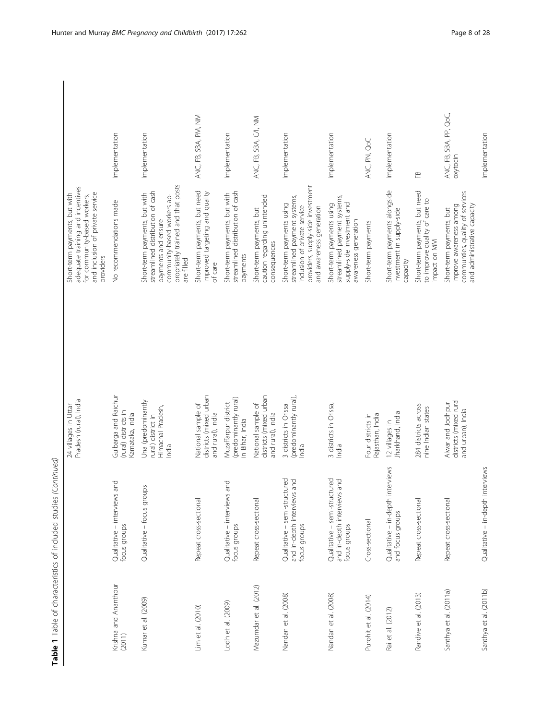|                                        |                                                                                  | Pradesh (rural), India<br>24 villages in Uttar                         | adequate training and incentives<br>and inclusion of private service<br>Short-term payments, but with<br>for community-based workers,<br>providers                          |                                    |
|----------------------------------------|----------------------------------------------------------------------------------|------------------------------------------------------------------------|-----------------------------------------------------------------------------------------------------------------------------------------------------------------------------|------------------------------------|
| <b>Krishna and Ananthpur</b><br>(2011) | Qualitative - interviews and<br>focus groups                                     | Gulbarga and Raichur<br>(rural) districts in<br>Karnataka, India       | No recommendations made                                                                                                                                                     | Implementation                     |
| Kumar et al. (2009)                    | Qualitative - focus groups                                                       | Una (predominantly<br>Himachal Pradesh,<br>rural) district in<br>India | propriately trained and that posts<br>streamlined distribution of cash<br>Short-term payments, but with<br>community-based workers ap-<br>payments and ensure<br>are filled | Implementation                     |
| Lim et al. (2010)                      | Repeat cross-sectional                                                           | districts (mixed urban<br>National sample of<br>and rural), India      | Short-term payments, but need<br>improved targeting and quality<br>of care                                                                                                  | ANC, FB, SBA, PM, NM               |
| Lodh et al. (2009)                     | Qualitative - interviews and<br>focus groups                                     | (predominantly rural)<br>Muzaffarpur district<br>in Bihar, India       | streamlined distribution of cash<br>Short-term payments, but with<br>payments                                                                                               | Implementation                     |
| Mazumdar et al. (2012)                 | Repeat cross-sectional                                                           | districts (mixed urban<br>National sample of<br>and rural), India      | caution regarding unintended<br>Short-term payments, but<br>consequences                                                                                                    | ANC, FB, SBA, C/I, NM              |
| Nandan et al. (2008)                   | Qualitative - semi-structured<br>and in-depth interviews and<br>focus groups     | (predominantly rural),<br>3 districts in Orissa<br>India               | providers, supply-side investment<br>streamlined payment systems,<br>Short-term payments using<br>inclusion of private service<br>and awareness generation                  | Implementation                     |
| Nandan et al. (2008)                   | P.<br>and in-depth interviews and<br>Qualitative - semi-structur<br>focus groups | 3 districts in Orissa<br>India                                         | streamlined payment systems,<br>supply-side investment and<br>Short-term payments using<br>awareness generation                                                             | Implementation                     |
| Purohit et al. (2014)                  | Cross-sectional                                                                  | Four districts in<br>Rajasthan, India                                  | Short-term payments                                                                                                                                                         | ANC, PN, QoC                       |
| Rai et al. (2012)                      | Qualitative - in-depth interviews<br>and focus groups                            | Jharkhand, India<br>12 villages in                                     | Short-term payments alongside<br>investment in supply-side<br>capacity                                                                                                      | Implementation                     |
| Randive et al. (2013)                  | Repeat cross-sectional                                                           | 284 districts across<br>nine Indian states                             | Short-term payments, but need<br>to improve quality of care to<br>impact on MM                                                                                              | E                                  |
| Santhya et al. (2011a)                 | Repeat cross-sectional                                                           | districts (mixed rural<br>Alwar and Jodhpur<br>and urban), India       | communties, quality of services<br>improve awareness among<br>and administrative capacity<br>Short-term payments, but                                                       | ANC, FB, SBA, PP, QoC,<br>oxytocin |
| Santhya et al. (2011b)                 | Qualitative - in-depth interviews                                                |                                                                        |                                                                                                                                                                             | Implementation                     |

Table 1 Table of characteristics of included studies (Continued) **Table 1** Table of characteristics of included studies (Continued)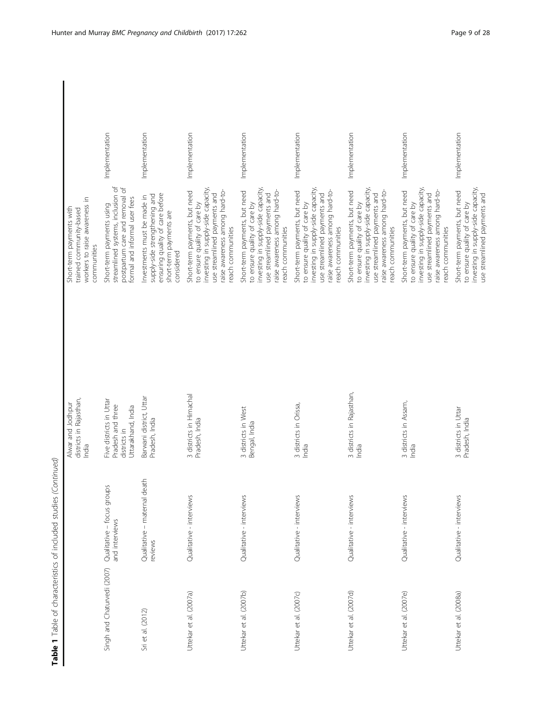| ļ                                                                                                                   |  |
|---------------------------------------------------------------------------------------------------------------------|--|
| )<br>5<br>5                                                                                                         |  |
| .<br>אנשים האנשים האנשים לא האנשים האנשיים המוניים המוניים לא האנשיים לא האנשיים לא האנשיים להתוצר האנשיים להתוצר ל |  |
| ことにてこも てゅてこてとこと とこもになせではなとで ちょうこう<br>・リンクミス                                                                         |  |
| 5<br>}                                                                                                              |  |
|                                                                                                                     |  |
| Ĭ,                                                                                                                  |  |
| ֧֘֜֕֜֕֜                                                                                                             |  |

|                             |                                              | districts in Rajasthan,<br>Alwar and Jodhpur<br>India                              | workers to raise awareness in<br>Short-term payments with<br>trained community-based<br>communities                                                                                        |                |
|-----------------------------|----------------------------------------------|------------------------------------------------------------------------------------|--------------------------------------------------------------------------------------------------------------------------------------------------------------------------------------------|----------------|
| Singh and Chaturvedi (2007) | Qualitative - focus groups<br>and interviews | Five districts in Uttar<br>Pradesh and three<br>Uttarakhand, India<br>districts in | streamlined systems, inclusion of<br>postpartum care and removal of<br>formal and informal user fees<br>Short-term payments using                                                          | Implementation |
| Sri et al. (2012)           | Qualitative - maternal death<br>reviews      | Barwani district, Uttar<br>Pradesh, India                                          | ensuring quality of care before<br>supply-side strengthening and<br>Investments must be made in<br>short-term payments are<br>considered                                                   | Implementation |
| Uttekar et al. (2007a)      | Qualitative - interviews                     | 3 districts in Himachal<br>Pradesh, India                                          | investing in supply-side capacity,<br>raise awareness among hard-to-<br>Short-term payments, but need<br>use streamlined payments and<br>to ensure quality of care by<br>reach communities | Implementation |
| Uttekar et al. (2007b)      | Qualitative - interviews                     | 3 districts in West<br>Bengal, India                                               | investing in supply-side capacity,<br>Short-term payments, but need<br>raise awareness among hard-to-<br>use streamlined payments and<br>to ensure quality of care by<br>reach communities | Implementation |
| Uttekar et al. (2007c)      | Qualitative - interviews                     | 3 districts in Orissa,<br>India                                                    | investing in supply-side capacity,<br>raise awareness among hard-to-<br>Short-term payments, but need<br>use streamlined payments and<br>to ensure quality of care by<br>reach communities | Implementation |
| Uttekar et al. (2007d)      | Qualitative - interviews                     | 3 districts in Rajasthan,<br>India                                                 | investing in supply-side capacity,<br>raise awareness among hard-to-<br>Short-term payments, but need<br>use streamlined payments and<br>to ensure quality of care by<br>reach communities | Implementation |
| Uttekar et al. (2007e)      | Qualitative - interviews                     | 3 districts in Assam,<br>India                                                     | investing in supply-side capacity,<br>Short-term payments, but need<br>raise awareness among hard-to-<br>use streamlined payments and<br>to ensure quality of care by<br>reach communities | Implementation |
| Uttekar et al. (2008a)      | Qualitative - interviews                     | 3 districts in Uttar<br>Pradesh, India                                             | investing in supply-side capacity,<br>Short-term payments, but need<br>use streamlined payments and<br>to ensure quality of care by                                                        | Implementation |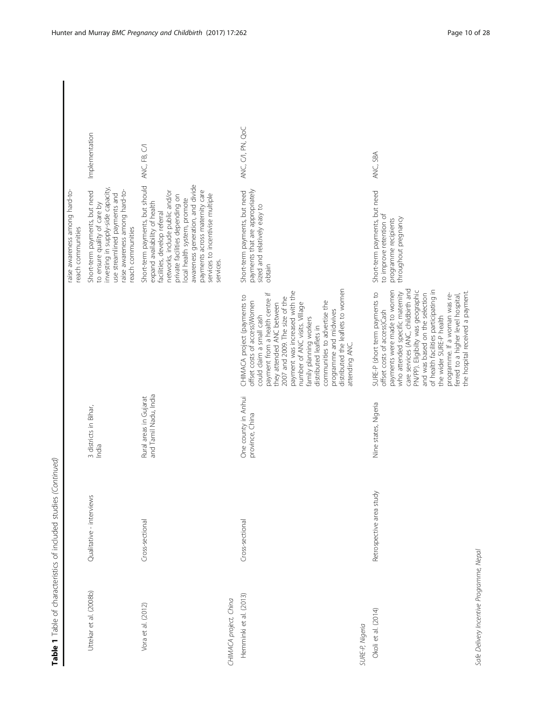| ί                                                 |  |
|---------------------------------------------------|--|
| $\frac{1}{2}$<br>)<br>5                           |  |
|                                                   |  |
| きこも てんてこてと! さしこむにんせんきゃく 七 のこで<br>)<br>}<br>・リンクミス |  |
| )<br>)                                            |  |
|                                                   |  |
|                                                   |  |

|                                                     | Implementation                                                                                                                                                                             |                                                                                                                                                                                                                                                                                                                                            |                        | ANC, C/I, PN, QoC                                                                                                                                                                                                                                                                                                                                                                                                                   |                 | ANC, SBA                                                                                                                                                                                                                                                                                                                                                                                                                    |
|-----------------------------------------------------|--------------------------------------------------------------------------------------------------------------------------------------------------------------------------------------------|--------------------------------------------------------------------------------------------------------------------------------------------------------------------------------------------------------------------------------------------------------------------------------------------------------------------------------------------|------------------------|-------------------------------------------------------------------------------------------------------------------------------------------------------------------------------------------------------------------------------------------------------------------------------------------------------------------------------------------------------------------------------------------------------------------------------------|-----------------|-----------------------------------------------------------------------------------------------------------------------------------------------------------------------------------------------------------------------------------------------------------------------------------------------------------------------------------------------------------------------------------------------------------------------------|
| raise awareness among hard-to-<br>reach communities | investing in supply-side capacity,<br>raise awareness among hard-to-<br>Short-term payments, but need<br>use streamlined payments and<br>to ensure quality of care by<br>reach communities | Short-term payments, but should ANC, FB, C/I<br>awareness generation, and divide<br>payments across maternity care<br>networks, include public and/or<br>services to incentivise multiple<br>private facilities depending on<br>local health system, promote<br>expand availability of health<br>facilities, develop referral<br>services. |                        | payments that are appropriately<br>Short-term payments, but need<br>sized and relatively easy to<br>obtain                                                                                                                                                                                                                                                                                                                          |                 | Short-term payments, but need<br>to improve retention of<br>throughout pregnancy<br>programme recipients                                                                                                                                                                                                                                                                                                                    |
|                                                     |                                                                                                                                                                                            |                                                                                                                                                                                                                                                                                                                                            |                        | distributed the leaflets to women<br>payment was increased with the<br>payment from a health centre if<br>CHIMACA project (payments to<br>2007 and 2009. The size of the<br>offset costs of access)Women<br>communities to advertise the<br>number of ANC visits. Village<br>they attended ANC between<br>programme and midwives<br>could claim a small cash<br>family planning workers<br>distributed leaflets in<br>attending ANC |                 | care services (ANC, childbirth and<br>payments were made to women<br>PN/PP). Eligibilty was geographic<br>of health facilities participating in<br>who attended specific maternity<br>SURE-P (short term payments to<br>the hospital received a payment.<br>and was based on the selection<br>programme. If a woman was re-<br>ferred to a higher level hospital,<br>offset costs of access)Cash<br>the wider SURE-P health |
|                                                     | 3 districts in Bihar,<br>India                                                                                                                                                             | and Tamil Nadu, India<br>Rural areas in Gujarat                                                                                                                                                                                                                                                                                            |                        | One county in Anhui<br>province, China                                                                                                                                                                                                                                                                                                                                                                                              |                 | Nine states, Nigeria                                                                                                                                                                                                                                                                                                                                                                                                        |
|                                                     | Qualitative - interviews                                                                                                                                                                   | Cross-sectional                                                                                                                                                                                                                                                                                                                            |                        | Cross-sectional                                                                                                                                                                                                                                                                                                                                                                                                                     |                 | Retrospective area study                                                                                                                                                                                                                                                                                                                                                                                                    |
|                                                     | Uttekar et al. (2008b)                                                                                                                                                                     | Vora et al. (2012)                                                                                                                                                                                                                                                                                                                         | CHIMACA project, China | Hemminki et al. (2013)                                                                                                                                                                                                                                                                                                                                                                                                              | SURE-P, Nigeria | Okoli et al. (2014)                                                                                                                                                                                                                                                                                                                                                                                                         |

Safe Delivery Incentive Programme, Nepal Safe Delivery Incentive Programme, Nepal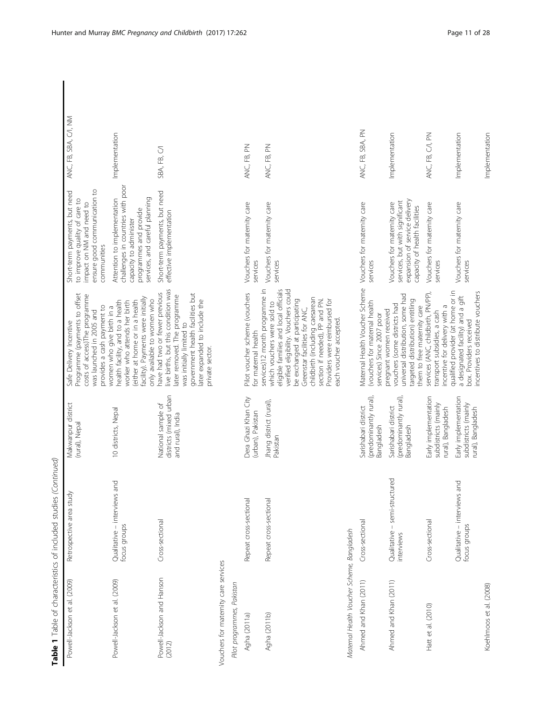|                                            | Table 1 Table of characteristics of included studies (Continued) |                                                                    |                                                                                                                                                                                                                                                                                                                                                  |                                                                                                                                                        |                       |
|--------------------------------------------|------------------------------------------------------------------|--------------------------------------------------------------------|--------------------------------------------------------------------------------------------------------------------------------------------------------------------------------------------------------------------------------------------------------------------------------------------------------------------------------------------------|--------------------------------------------------------------------------------------------------------------------------------------------------------|-----------------------|
| Powell-Jackson et al. (2009)               | Retrospective area study                                         | Makwanpur district<br>(rural), Nepal                               | Programme (payments to offset<br>costs of access)The programme<br>provides a cash payment to<br>was launched in 2005 and<br>Safe Delivery Incentive                                                                                                                                                                                              | ensure good communication to<br>Short-term payments, but need<br>to improve quality of care to<br>impact on NM and need to<br>communities              | ANC, FB, SBA, C/I, NM |
| Powell-Jackson et al. (2009)               | Qualitative - interviews and<br>focus groups                     | 10 districts, Nepal                                                | facility). Payments were initially<br>only available to women who<br>(either at home or in a health<br>health facility, and to a health<br>worker who attends her birth<br>women who give birth in a                                                                                                                                             | challenges in countries with poor<br>services, and careful planning<br>Attention to implementation<br>programmes and provide<br>capacity to administer | Implementation        |
| Powell-Jackson and Hanson<br>(2012)        | Cross-sectional                                                  | districts (mixed urban<br>National sample of<br>and rural), India  | live births, but this condition was<br>have had two or fewer previous<br>government health facilities but<br>later removed. The programme<br>later expanded to include the<br>was initially limited to<br>private sector.                                                                                                                        | Short-term payments, but need<br>effective implementation                                                                                              | SBA, FB, C/I          |
| Vouchers for maternity care services       |                                                                  |                                                                    |                                                                                                                                                                                                                                                                                                                                                  |                                                                                                                                                        |                       |
| Pilot programmes, Pakistan                 |                                                                  |                                                                    |                                                                                                                                                                                                                                                                                                                                                  |                                                                                                                                                        |                       |
| Agha (2011a)                               | Repeat cross-sectional                                           | Dera Ghazi Khan City<br>(urban), Pakistan                          | Pilot voucher scheme (vouchers<br>for maternal health                                                                                                                                                                                                                                                                                            | Vouchers for maternity care<br>services                                                                                                                | ANC, FB, PN           |
| Agha (2011b)                               | Repeat cross-sectional                                           | Jhang district (rural),<br>Pakistan                                | eligible families and local officials<br>services)12 month programme in<br>verified eligibility. Vouchers could<br>childbirth (including caesarean<br>Providers were reimbursed for<br>be exchanged at participating<br>section if needed), PP and PN.<br>which vouchers were sold to<br>Greenstar facilities for ANC,<br>each voucher accepted. | Vouchers for maternity care<br>services                                                                                                                | ANC, FB, PN           |
| Maternal Health Voucher Scheme, Bangladesh |                                                                  |                                                                    |                                                                                                                                                                                                                                                                                                                                                  |                                                                                                                                                        |                       |
| Ahmed and Khan (2011)                      | Cross-sectional                                                  | (predominantly rural),<br>Sarishabari district<br>Bangladesh       | Maternal Health Voucher Scheme<br>(vouchers for maternal health<br>services) Since 2007 poor                                                                                                                                                                                                                                                     | Vouchers for maternity care<br>services                                                                                                                | ANC, FB, SBA, PN      |
| Ahmed and Khan (2011)                      | Qualitative - semi-structured<br>interviews                      | (predominantly rural),<br>Sarishabari district<br>Bangladesh       | universal distribution, some had<br>targeted distribution) entitling<br>vouchers (some districts had<br>them to free maternity care<br>pregnant women received                                                                                                                                                                                   | expansion of service delivery<br>services, but with significant<br>Vouchers for maternity care<br>capacity of health facilities                        | Implementation        |
| Hatt et al. (2010)                         | Cross-sectional                                                  | Early implementation<br>subdistricts (mainly<br>rural), Bangladesh | services (ANC, childbirth, PN/PP),<br>incentive for delivery with a<br>transport subsidies, a cash                                                                                                                                                                                                                                               | Vouchers for maternity care<br>services                                                                                                                | ANC, FB, C/I, PN      |
|                                            | g<br>Qualitative - interviews a<br>focus groups                  | Early implementation<br>subdistricts (mainly<br>rural), Bangladesh | qualified provider (at home or in<br>incentives to distribute vouchers<br>a designated facility) and a gift<br>box. Providers received                                                                                                                                                                                                           | Vouchers for maternity care<br>services                                                                                                                | Implementation        |
| Koehlmoos et al. (2008)                    |                                                                  |                                                                    |                                                                                                                                                                                                                                                                                                                                                  |                                                                                                                                                        | Implementation        |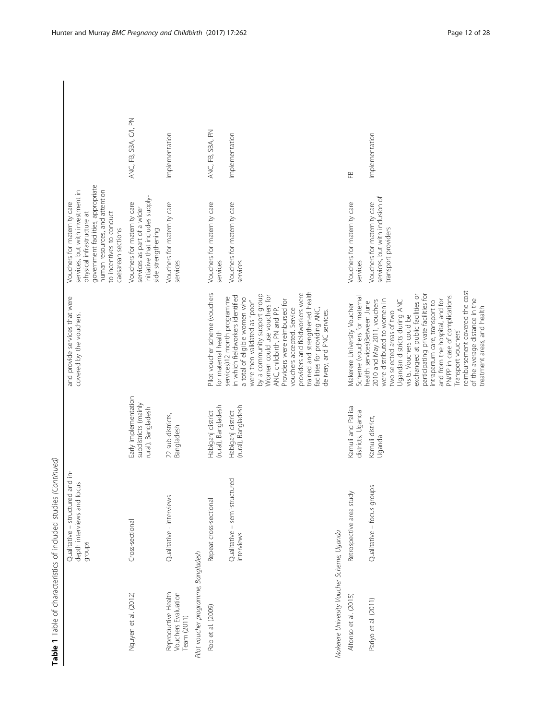|                                                           | Qualitative - structured and in-<br>depth interviews and focus<br>groups |                                                                    | and provide services that were<br>covered by the vouchers.                                                                                                                                                                                                                                                                                                                                                                                                                                          | government facilities, appropriate<br>human resources, and attention<br>services, but with investment in<br>Vouchers for maternity care<br>to incentives to conduct<br>physical infrastructure at<br>caesarean sections |                       |
|-----------------------------------------------------------|--------------------------------------------------------------------------|--------------------------------------------------------------------|-----------------------------------------------------------------------------------------------------------------------------------------------------------------------------------------------------------------------------------------------------------------------------------------------------------------------------------------------------------------------------------------------------------------------------------------------------------------------------------------------------|-------------------------------------------------------------------------------------------------------------------------------------------------------------------------------------------------------------------------|-----------------------|
| Nguyen et al. (2012)                                      | Cross-sectional                                                          | Early implementation<br>subdistricts (mainly<br>rural), Bangladesh |                                                                                                                                                                                                                                                                                                                                                                                                                                                                                                     | initiative that includes supply-<br>Vouchers for maternity care<br>services as part of a wider<br>side strengthening                                                                                                    | ANC, FB, SBA, C/I, PN |
| Reproductive Health<br>Vouchers Evaluation<br>Team (2011) | Qualitative - interviews                                                 | 22 sub-districts,<br>Bangladesh                                    |                                                                                                                                                                                                                                                                                                                                                                                                                                                                                                     | Vouchers for maternity care<br>services                                                                                                                                                                                 | Implementation        |
| Pilot voucher programme, Bangladesh                       |                                                                          |                                                                    |                                                                                                                                                                                                                                                                                                                                                                                                                                                                                                     |                                                                                                                                                                                                                         |                       |
| Rob et al. (2009)                                         | Repeat cross-sectional                                                   | (rural), Bangladesh<br>Habiganj district                           | Pilot voucher scheme (vouchers<br>for maternal health                                                                                                                                                                                                                                                                                                                                                                                                                                               | Vouchers for maternity care<br>services                                                                                                                                                                                 | ANC, FB, SBA, PN      |
|                                                           | 9.<br>Qualitative - semi-structur<br>interviews                          | (rural), Bangladesh<br>Habiganj district                           | trained and strengthened health<br>providers and fieldworkers were<br>by a community support group<br>in which fieldworkers identified<br>Women could use vouchers for<br>services)12 month programme<br>a total of eligible women who<br>Providers were reimbursed for<br>were then validated as "poor"<br>vouchers accepted. Service<br>ANC, childbirth, PN and PP.<br>facilities for providing ANC,<br>delivery, and PNC services.                                                               | Vouchers for maternity care<br>services                                                                                                                                                                                 | Implementation        |
| Makerere University Voucher Scheme, Uganda                |                                                                          |                                                                    |                                                                                                                                                                                                                                                                                                                                                                                                                                                                                                     |                                                                                                                                                                                                                         |                       |
| Alfonso et al. (2015)                                     | Retrospective area study                                                 | Kamuli and Pallisa<br>districts, Uganda                            | Scheme (vouchers for maternal<br>Makerere University Voucher                                                                                                                                                                                                                                                                                                                                                                                                                                        | Vouchers for maternity care<br>services                                                                                                                                                                                 | $\mathbb{E}$          |
| Pariyo et al. (2011)                                      | Qualitative - focus groups                                               | Kamuli district,<br>Uganda                                         | reimbursement covered the cost<br>participating private facilities for<br>exchanged at public facilities or<br>PN/PP in case of complications.<br>and from the hospital, and for<br>of the average distance in the<br>were distributed to women in<br>intrapartum care, transport to<br>2010 and May 2011, vouchers<br>Ugandan districts during ANC<br>health services)Between June<br>treatment areas, and health<br>two selected areas of two<br>visits. Vouchers could be<br>Transport vouchers' | services, but with inclusion of<br>Vouchers for maternity care<br>transport providers                                                                                                                                   | Implementation        |

Table 1 Table of characteristics of included studies (Continued) **Table 1** Table of characteristics of included studies (Continued)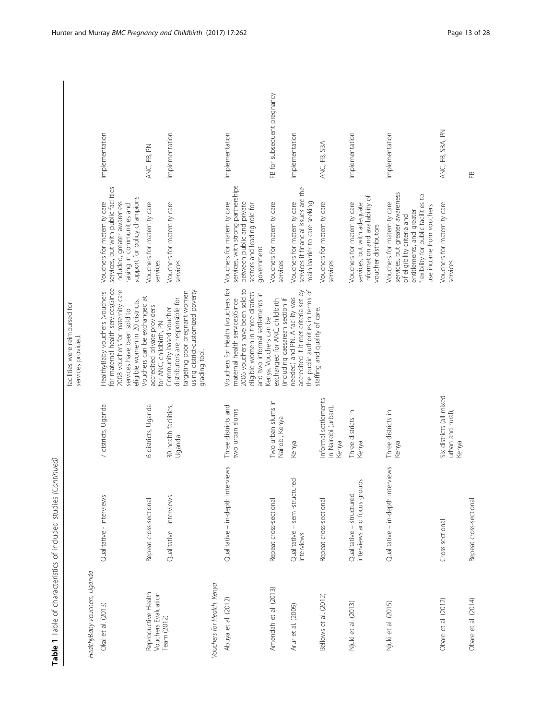|                                            |                                                         |                                                        | facilities were reimbursed for<br>services provided.                                                                                                                           |                                                                                                                                                                                                                        |                             |
|--------------------------------------------|---------------------------------------------------------|--------------------------------------------------------|--------------------------------------------------------------------------------------------------------------------------------------------------------------------------------|------------------------------------------------------------------------------------------------------------------------------------------------------------------------------------------------------------------------|-----------------------------|
| HealthyBaby vouchers, Uganda               |                                                         |                                                        |                                                                                                                                                                                |                                                                                                                                                                                                                        |                             |
| Okal et al. (2013)                         | Qualitative - interviews                                | 7 districts, Uganda                                    | for maternal health services)Since<br>2008 vouchers for maternity care<br>HealthyBaby vouchers (vouchers<br>eligible women in 20 districts.<br>services have been sold to      | services, but with public facilities<br>support for policy champions<br>Vouchers for maternity care<br>included, greater awareness<br>raising in communities and                                                       | Implementation              |
| Reproductive Health<br>Vouchers Evaluation | Repeat cross-sectional                                  | 6 districts, Uganda                                    | Vouchers can be exchanged at<br>accredited private providers<br>or ANC, childbirth, PN.                                                                                        | Vouchers for maternity care<br>services                                                                                                                                                                                | ANC, FB, PN                 |
| Team (2012)                                | Qualitative - interviews                                | 30 health facilities,<br>Uganda                        | using district-customized poverty<br>targeting poor pregnant women<br>distributors are responsible for<br>Community-based voucher<br>grading tool.                             | Vouchers for maternity care<br>services                                                                                                                                                                                | Implementation              |
| Vouchers for Health, Kenya                 |                                                         |                                                        |                                                                                                                                                                                |                                                                                                                                                                                                                        |                             |
| Abuya et al. (2012)                        | Qualitative - in-depth interviews                       | Three districts and<br>two urban slums                 | Vouchers for Health (vouchers for<br>2006 vouchers have been sold to<br>eligible women in three districts<br>and two informal settlements in<br>maternal health services)Since | services, with strong partnerships<br>Vouchers for maternity care<br>between public and private<br>sectors and leading role for<br>government                                                                          | Implementation              |
| Amendah et al. (2013)                      | Repeat cross-sectional                                  | Two urban slums in<br>Nairobi, Kenya                   | including caesarean section if<br>exchanged for ANC, childbirth<br>Kenya. Vouchers can be                                                                                      | Vouchers for maternity care<br>services                                                                                                                                                                                | FB for subsequent pregnancy |
| Arur et al. (2009)                         | Qualitative - semi-structured<br>interviews             | Kenya                                                  | accredited if it met criteria set by<br>the public authorities in terms of<br>needed) and PN. A facility was                                                                   | services if financial issues are the<br>main barrier to care-seeking<br>Vouchers for maternity care                                                                                                                    | Implementation              |
| Bellows et al. (2012)                      | Repeat cross-sectional                                  | Informal settlements<br>in Nairobi (urban),<br>Kenya   | staffing and quality of care.                                                                                                                                                  | Vouchers for maternity care<br>services                                                                                                                                                                                | ANC, FB, SBA                |
| Njuki et al. (2013)                        | interviews and focus groups<br>Qualitative - structured | Three districts in<br>Kenya                            |                                                                                                                                                                                | information and availability of<br>Vouchers for maternity care<br>services, but with adequate<br>voucher distributors                                                                                                  | Implementation              |
| Njuki et al. (2015)                        | Qualitative - in-depth interviews                       | Three districts in<br>Kenya                            |                                                                                                                                                                                | services, but greater awareness<br>$\overline{\mathrm{c}}$<br>Vouchers for maternity care<br>flexibility for public facilities<br>use income from vouchers<br>entitlements, and greater<br>of eligibility criteria and | Implementation              |
| Obare et al. (2012)                        | Cross-sectional                                         | Six districts (all mixed<br>urban and rural),<br>Kenya |                                                                                                                                                                                | Vouchers for maternity care<br>services                                                                                                                                                                                | ANC, FB, SBA, PN            |
| Obare et al. (2014)                        | Repeat cross-sectional                                  |                                                        |                                                                                                                                                                                |                                                                                                                                                                                                                        | $\mathbb{E}$                |

Table 1 Table of characteristics of included studies (Continued) **Table 1** Table of characteristics of included studies (Continued)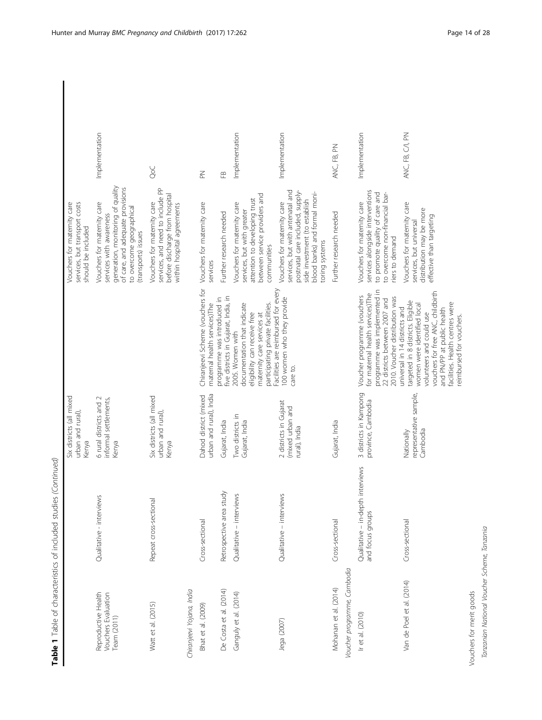| Table 1 Table of characteristics of included studies      | (Continued)                                           |                                                             |                                                                                                                                                                                                                                                                |                                                                                                                                                                                         |                  |
|-----------------------------------------------------------|-------------------------------------------------------|-------------------------------------------------------------|----------------------------------------------------------------------------------------------------------------------------------------------------------------------------------------------------------------------------------------------------------------|-----------------------------------------------------------------------------------------------------------------------------------------------------------------------------------------|------------------|
|                                                           |                                                       | Six districts (all mixed<br>urban and rural),<br>Kenya      |                                                                                                                                                                                                                                                                | services, but transport costs<br>Vouchers for maternity care<br>should be included                                                                                                      |                  |
| Reproductive Health<br>Vouchers Evaluation<br>Team (2011) | Qualitative - interviews                              | 6 rural districts and 2<br>informal settlements,<br>Kenya   |                                                                                                                                                                                                                                                                | generation, monitoring of quality<br>of care, and adequate provisions<br>Vouchers for maternity care<br>to overcome geographical<br>services with awareness<br>(transports) issues      | Implementation   |
| Watt et al. (2015)                                        | Repeat cross-sectional                                | Six districts (all mixed<br>urban and rural),<br>Kenya      |                                                                                                                                                                                                                                                                | services, and need to include PP<br>before discharge from hospital<br>Vouchers for maternity care<br>within hospital agreements                                                         | <b>Soc</b>       |
| Chiranjeevi Yojana, India                                 |                                                       |                                                             |                                                                                                                                                                                                                                                                |                                                                                                                                                                                         |                  |
| Bhat et al. (2009)                                        | Cross-sectional                                       | urban and rural), India<br>Dahod district (mixed            | Chiranjeevi Scheme (vouchers for<br>maternal health services)The                                                                                                                                                                                               | Vouchers for maternity care<br>services                                                                                                                                                 | $\leq$           |
| De Costa et al. (2014)                                    | Retrospective area study                              | Gujarat, India                                              | five districts in Gujarat, India, in<br>programme was introduced in                                                                                                                                                                                            | Further research needed                                                                                                                                                                 | Æ                |
| Ganguly et al. (2014)                                     | Qualitative - interviews                              | Two districts in<br>Gujarat, India                          | participating private facilities.<br>documentation that indicate<br>eligibility can receive free<br>maternity care services at<br>2005. Women with                                                                                                             | between service providers and<br>attention to developing trust<br>Vouchers for maternity care<br>services, but with greater<br>communities                                              | Implementation   |
| Jega (2007)                                               | Qualitative - interviews                              | 2 districts in Gujarat<br>(mixed urban and<br>rural), India | Facilities are reimbursed for every<br>100 women who they provide<br>care to.                                                                                                                                                                                  | services, but with antenatal and<br>postnatal care included, supply-<br>blood banks) and formal moni-<br>side investment (to establish<br>Vouchers for maternity care<br>toring systems | Implementation   |
| Voucher programme, Cambodia<br>Mohanan et al. (2014)      | Cross-sectional                                       | Gujarat, India                                              |                                                                                                                                                                                                                                                                | Further research needed                                                                                                                                                                 | ANC, FB, PN      |
| Ir et al. (2010)                                          | Qualitative - in-depth interviews<br>and focus groups | 3 districts in Kampong<br>province, Cambodia                | programme was implemented in<br>for maternal health services)The<br>Voucher programme (vouchers<br>2010. Voucher distribution was<br>22 districts between 2007 and                                                                                             | services alongside interventions<br>to promote quality of care and<br>to overcome non-financial bar-<br>Vouchers for maternity care<br>riers to demand                                  | Implementation   |
| Van de Poel et al. (2014)                                 | Cross-sectional                                       | representative sample,<br>Cambodia<br>Nationally            | vouchers for free ANC, childbirth<br>targeted in 8 districts. Eligible<br>facilities. Health centres were<br>women were identified local<br>universal in 14 districts and<br>and PN/PP at public health<br>volunteers and could use<br>eimbursed for vouchers. | Vouchers for maternity care<br>distribution may be more<br>effective than targeting<br>services, but universal                                                                          | ANC, FB, C/I, PN |
| Vouchers for merit goods                                  |                                                       |                                                             |                                                                                                                                                                                                                                                                |                                                                                                                                                                                         |                  |

Tanzanian National Voucher Scheme, Tanzania

Tanzanian National Voucher Scheme, Tanzania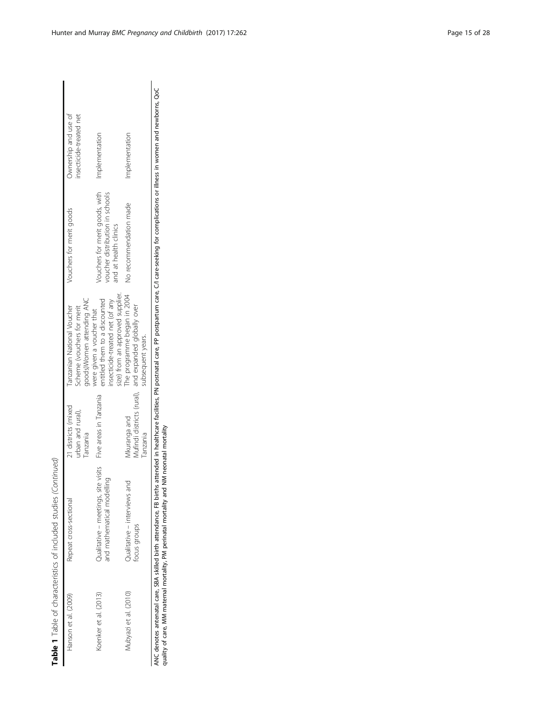Table 1 Table of characteristics of included studies (Continued) **Table 1** Table of characteristics of included studies (Continued)

| Ownership and use of<br>nsecticide-treated net<br>Vouchers for merit goods                   | Implementation<br>/ouchers for merit goods, with<br>roucher distribution in schools<br>and at health clinics                      | mplementation<br>No recommendation made                                                                   |
|----------------------------------------------------------------------------------------------|-----------------------------------------------------------------------------------------------------------------------------------|-----------------------------------------------------------------------------------------------------------|
| goods)Women attending ANC<br><b>Tanzanian National Voucher</b><br>Scheme (vouchers for merit | size) from an approved supplier.<br>entitled them to a discounted<br>insecticide-treated net (of any<br>were given a voucher that | The programme began in 2004<br>Mufindi districts (rural), and expanded globally over<br>subsequent years. |
| 1 districts (mixed<br>urban and rural),<br><b>Tanzania</b>                                   | Five areas in Tanzania                                                                                                            | Wkuranga and<br>Tanzania                                                                                  |
| Repeat cross-sectional                                                                       | Qualitative - meetings, site visits<br>and mathematical modelling                                                                 | Qualitative - interviews and<br>ocus groups                                                               |
| Hanson et al. (2009)                                                                         | Koenker et al. (2013)                                                                                                             | Aubyazi et al. (2010)                                                                                     |

ANC denotes antenatal care, SBA skilled birth attendance, FB births attended in healthcare facilities, PN postnatal care, PP postpartum care, C/I care-seeking for complications or illness in women and newborns, QoC<br>quality ANC denotes antenatal care, SBA skilled birth attendance, FB births attended in healthcare facilities, PN postnatal care, PP postpartum care, C/I care-seeking for complications or illness in women and newborns, QoC quality of care, MM maternal mortality, PM perinatal mortality and NM neonatal mortality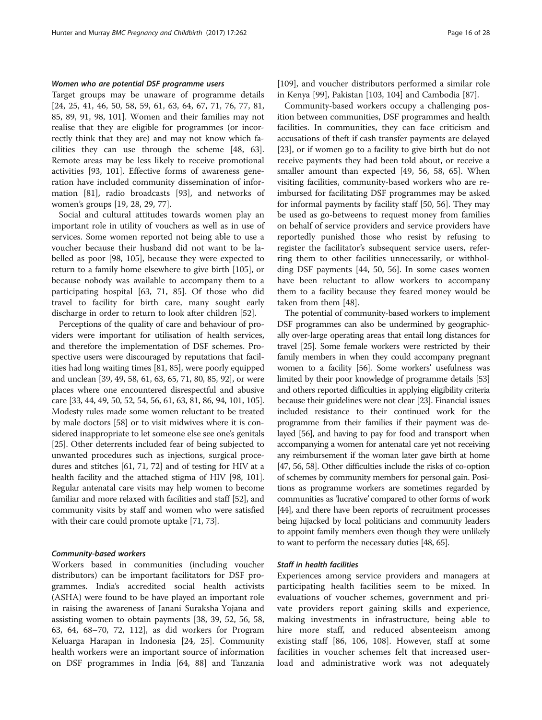## Women who are potential DSF programme users

Target groups may be unaware of programme details [[24, 25](#page-25-0), [41, 46, 50](#page-25-0), [58, 59](#page-26-0), [61](#page-26-0), [63, 64](#page-26-0), [67, 71, 76](#page-26-0), [77, 81](#page-26-0), [85, 89](#page-26-0), [91,](#page-26-0) [98](#page-27-0), [101\]](#page-27-0). Women and their families may not realise that they are eligible for programmes (or incorrectly think that they are) and may not know which facilities they can use through the scheme [\[48](#page-25-0), [63](#page-26-0)]. Remote areas may be less likely to receive promotional activities [\[93,](#page-26-0) [101\]](#page-27-0). Effective forms of awareness generation have included community dissemination of information [[81\]](#page-26-0), radio broadcasts [\[93](#page-26-0)], and networks of women's groups [[19](#page-25-0), [28](#page-25-0), [29](#page-25-0), [77](#page-26-0)].

Social and cultural attitudes towards women play an important role in utility of vouchers as well as in use of services. Some women reported not being able to use a voucher because their husband did not want to be labelled as poor [[98, 105](#page-27-0)], because they were expected to return to a family home elsewhere to give birth [[105](#page-27-0)], or because nobody was available to accompany them to a participating hospital [[63, 71](#page-26-0), [85\]](#page-26-0). Of those who did travel to facility for birth care, many sought early discharge in order to return to look after children [[52\]](#page-25-0).

Perceptions of the quality of care and behaviour of providers were important for utilisation of health services, and therefore the implementation of DSF schemes. Prospective users were discouraged by reputations that facilities had long waiting times [\[81, 85\]](#page-26-0), were poorly equipped and unclean [[39](#page-25-0), [49,](#page-25-0) [58](#page-26-0), [61, 63](#page-26-0), [65, 71](#page-26-0), [80, 85](#page-26-0), [92](#page-26-0)], or were places where one encountered disrespectful and abusive care [\[33, 44](#page-25-0), [49](#page-25-0), [50, 52](#page-25-0), [54,](#page-25-0) [56, 61](#page-26-0), [63, 81](#page-26-0), [86](#page-26-0), [94,](#page-26-0) [101](#page-27-0), [105](#page-27-0)]. Modesty rules made some women reluctant to be treated by male doctors [[58](#page-26-0)] or to visit midwives where it is considered inappropriate to let someone else see one's genitals [[25](#page-25-0)]. Other deterrents included fear of being subjected to unwanted procedures such as injections, surgical procedures and stitches [\[61, 71, 72\]](#page-26-0) and of testing for HIV at a health facility and the attached stigma of HIV [\[98, 101](#page-27-0)]. Regular antenatal care visits may help women to become familiar and more relaxed with facilities and staff [\[52\]](#page-25-0), and community visits by staff and women who were satisfied with their care could promote uptake [[71](#page-26-0), [73\]](#page-26-0).

#### Community-based workers

Workers based in communities (including voucher distributors) can be important facilitators for DSF programmes. India's accredited social health activists (ASHA) were found to be have played an important role in raising the awareness of Janani Suraksha Yojana and assisting women to obtain payments [[38, 39](#page-25-0), [52](#page-25-0), [56, 58](#page-26-0), [63, 64, 68](#page-26-0)–[70](#page-26-0), [72,](#page-26-0) [112](#page-27-0)], as did workers for Program Keluarga Harapan in Indonesia [\[24](#page-25-0), [25](#page-25-0)]. Community health workers were an important source of information on DSF programmes in India [[64](#page-26-0), [88](#page-26-0)] and Tanzania

Community-based workers occupy a challenging position between communities, DSF programmes and health facilities. In communities, they can face criticism and accusations of theft if cash transfer payments are delayed [[23\]](#page-25-0), or if women go to a facility to give birth but do not receive payments they had been told about, or receive a smaller amount than expected [[49,](#page-25-0) [56, 58](#page-26-0), [65](#page-26-0)]. When visiting facilities, community-based workers who are reimbursed for facilitating DSF programmes may be asked for informal payments by facility staff [[50,](#page-25-0) [56\]](#page-26-0). They may be used as go-betweens to request money from families on behalf of service providers and service providers have reportedly punished those who resist by refusing to register the facilitator's subsequent service users, referring them to other facilities unnecessarily, or withholding DSF payments [\[44](#page-25-0), [50](#page-25-0), [56](#page-26-0)]. In some cases women have been reluctant to allow workers to accompany them to a facility because they feared money would be taken from them [[48\]](#page-25-0).

The potential of community-based workers to implement DSF programmes can also be undermined by geographically over-large operating areas that entail long distances for travel [\[25\]](#page-25-0). Some female workers were restricted by their family members in when they could accompany pregnant women to a facility [[56](#page-26-0)]. Some workers' usefulness was limited by their poor knowledge of programme details [\[53](#page-25-0)] and others reported difficulties in applying eligibility criteria because their guidelines were not clear [\[23\]](#page-25-0). Financial issues included resistance to their continued work for the programme from their families if their payment was delayed [\[56\]](#page-26-0), and having to pay for food and transport when accompanying a women for antenatal care yet not receiving any reimbursement if the woman later gave birth at home [[47](#page-25-0), [56](#page-26-0), [58\]](#page-26-0). Other difficulties include the risks of co-option of schemes by community members for personal gain. Positions as programme workers are sometimes regarded by communities as 'lucrative' compared to other forms of work [[44](#page-25-0)], and there have been reports of recruitment processes being hijacked by local politicians and community leaders to appoint family members even though they were unlikely to want to perform the necessary duties [[48](#page-25-0), [65](#page-26-0)].

## Staff in health facilities

Experiences among service providers and managers at participating health facilities seem to be mixed. In evaluations of voucher schemes, government and private providers report gaining skills and experience, making investments in infrastructure, being able to hire more staff, and reduced absenteeism among existing staff [[86,](#page-26-0) [106, 108\]](#page-27-0). However, staff at some facilities in voucher schemes felt that increased userload and administrative work was not adequately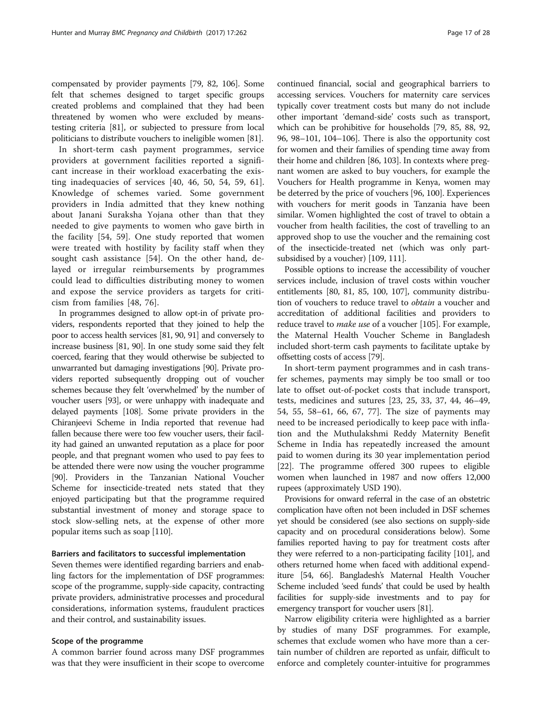compensated by provider payments [[79](#page-26-0), [82](#page-26-0), [106\]](#page-27-0). Some felt that schemes designed to target specific groups created problems and complained that they had been threatened by women who were excluded by meanstesting criteria [\[81\]](#page-26-0), or subjected to pressure from local politicians to distribute vouchers to ineligible women [[81](#page-26-0)].

In short-term cash payment programmes, service providers at government facilities reported a significant increase in their workload exacerbating the existing inadequacies of services [[40, 46, 50, 54,](#page-25-0) [59](#page-26-0), [61](#page-26-0)]. Knowledge of schemes varied. Some government providers in India admitted that they knew nothing about Janani Suraksha Yojana other than that they needed to give payments to women who gave birth in the facility [[54,](#page-25-0) [59\]](#page-26-0). One study reported that women were treated with hostility by facility staff when they sought cash assistance [\[54](#page-25-0)]. On the other hand, delayed or irregular reimbursements by programmes could lead to difficulties distributing money to women and expose the service providers as targets for criticism from families [\[48](#page-25-0), [76](#page-26-0)].

In programmes designed to allow opt-in of private providers, respondents reported that they joined to help the poor to access health services [\[81, 90, 91\]](#page-26-0) and conversely to increase business [\[81, 90](#page-26-0)]. In one study some said they felt coerced, fearing that they would otherwise be subjected to unwarranted but damaging investigations [\[90](#page-26-0)]. Private providers reported subsequently dropping out of voucher schemes because they felt 'overwhelmed' by the number of voucher users [[93\]](#page-26-0), or were unhappy with inadequate and delayed payments [\[108\]](#page-27-0). Some private providers in the Chiranjeevi Scheme in India reported that revenue had fallen because there were too few voucher users, their facility had gained an unwanted reputation as a place for poor people, and that pregnant women who used to pay fees to be attended there were now using the voucher programme [[90](#page-26-0)]. Providers in the Tanzanian National Voucher Scheme for insecticide-treated nets stated that they enjoyed participating but that the programme required substantial investment of money and storage space to stock slow-selling nets, at the expense of other more popular items such as soap [\[110\]](#page-27-0).

#### Barriers and facilitators to successful implementation

Seven themes were identified regarding barriers and enabling factors for the implementation of DSF programmes: scope of the programme, supply-side capacity, contracting private providers, administrative processes and procedural considerations, information systems, fraudulent practices and their control, and sustainability issues.

#### Scope of the programme

A common barrier found across many DSF programmes was that they were insufficient in their scope to overcome

continued financial, social and geographical barriers to accessing services. Vouchers for maternity care services typically cover treatment costs but many do not include other important 'demand-side' costs such as transport, which can be prohibitive for households [\[79, 85, 88, 92](#page-26-0), [96](#page-26-0), [98](#page-27-0)–[101, 104](#page-27-0)–[106](#page-27-0)]. There is also the opportunity cost for women and their families of spending time away from their home and children [\[86,](#page-26-0) [103\]](#page-27-0). In contexts where pregnant women are asked to buy vouchers, for example the Vouchers for Health programme in Kenya, women may be deterred by the price of vouchers [\[96](#page-26-0), [100](#page-27-0)]. Experiences with vouchers for merit goods in Tanzania have been similar. Women highlighted the cost of travel to obtain a voucher from health facilities, the cost of travelling to an approved shop to use the voucher and the remaining cost of the insecticide-treated net (which was only partsubsidised by a voucher) [\[109](#page-27-0), [111\]](#page-27-0).

Possible options to increase the accessibility of voucher services include, inclusion of travel costs within voucher entitlements [[80](#page-26-0), [81](#page-26-0), [85](#page-26-0), [100](#page-27-0), [107\]](#page-27-0), community distribution of vouchers to reduce travel to obtain a voucher and accreditation of additional facilities and providers to reduce travel to *make use* of a voucher [\[105](#page-27-0)]. For example, the Maternal Health Voucher Scheme in Bangladesh included short-term cash payments to facilitate uptake by offsetting costs of access [[79](#page-26-0)].

In short-term payment programmes and in cash transfer schemes, payments may simply be too small or too late to offset out-of-pocket costs that include transport, tests, medicines and sutures [\[23](#page-25-0), [25](#page-25-0), [33](#page-25-0), [37, 44, 46](#page-25-0)–[49](#page-25-0), [54,](#page-25-0) [55](#page-26-0), [58](#page-26-0)–[61, 66, 67](#page-26-0), [77](#page-26-0)]. The size of payments may need to be increased periodically to keep pace with inflation and the Muthulakshmi Reddy Maternity Benefit Scheme in India has repeatedly increased the amount paid to women during its 30 year implementation period [[22\]](#page-25-0). The programme offered 300 rupees to eligible women when launched in 1987 and now offers 12,000 rupees (approximately USD 190).

Provisions for onward referral in the case of an obstetric complication have often not been included in DSF schemes yet should be considered (see also sections on supply-side capacity and on procedural considerations below). Some families reported having to pay for treatment costs after they were referred to a non-participating facility [[101\]](#page-27-0), and others returned home when faced with additional expenditure [\[54,](#page-25-0) [66](#page-26-0)]. Bangladesh's Maternal Health Voucher Scheme included 'seed funds' that could be used by health facilities for supply-side investments and to pay for emergency transport for voucher users [\[81](#page-26-0)].

Narrow eligibility criteria were highlighted as a barrier by studies of many DSF programmes. For example, schemes that exclude women who have more than a certain number of children are reported as unfair, difficult to enforce and completely counter-intuitive for programmes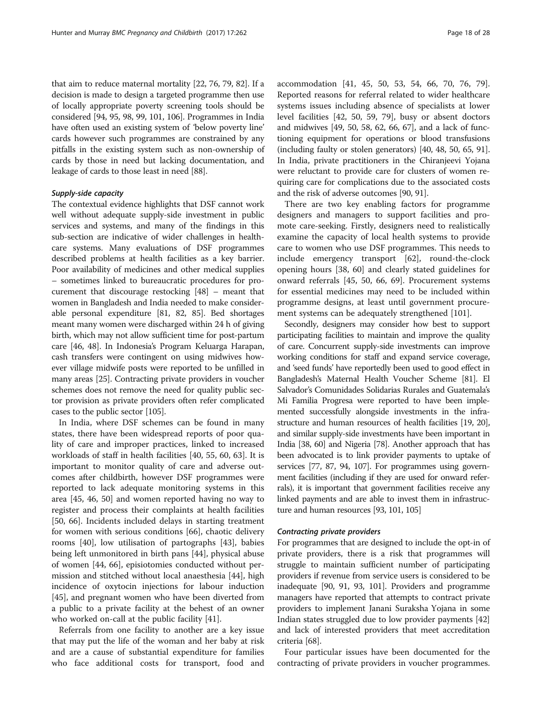that aim to reduce maternal mortality [\[22,](#page-25-0) [76, 79](#page-26-0), [82](#page-26-0)]. If a decision is made to design a targeted programme then use of locally appropriate poverty screening tools should be considered [[94, 95](#page-26-0), [98, 99](#page-27-0), [101](#page-27-0), [106\]](#page-27-0). Programmes in India have often used an existing system of 'below poverty line' cards however such programmes are constrained by any pitfalls in the existing system such as non-ownership of cards by those in need but lacking documentation, and leakage of cards to those least in need [\[88\]](#page-26-0).

### Supply-side capacity

The contextual evidence highlights that DSF cannot work well without adequate supply-side investment in public services and systems, and many of the findings in this sub-section are indicative of wider challenges in healthcare systems. Many evaluations of DSF programmes described problems at health facilities as a key barrier. Poor availability of medicines and other medical supplies – sometimes linked to bureaucratic procedures for procurement that discourage restocking [[48](#page-25-0)] – meant that women in Bangladesh and India needed to make considerable personal expenditure [\[81](#page-26-0), [82, 85\]](#page-26-0). Bed shortages meant many women were discharged within 24 h of giving birth, which may not allow sufficient time for post-partum care [[46](#page-25-0), [48](#page-25-0)]. In Indonesia's Program Keluarga Harapan, cash transfers were contingent on using midwives however village midwife posts were reported to be unfilled in many areas [\[25\]](#page-25-0). Contracting private providers in voucher schemes does not remove the need for quality public sector provision as private providers often refer complicated cases to the public sector [[105](#page-27-0)].

In India, where DSF schemes can be found in many states, there have been widespread reports of poor quality of care and improper practices, linked to increased workloads of staff in health facilities [\[40](#page-25-0), [55](#page-26-0), [60](#page-26-0), [63](#page-26-0)]. It is important to monitor quality of care and adverse outcomes after childbirth, however DSF programmes were reported to lack adequate monitoring systems in this area [\[45](#page-25-0), [46, 50](#page-25-0)] and women reported having no way to register and process their complaints at health facilities [[50,](#page-25-0) [66\]](#page-26-0). Incidents included delays in starting treatment for women with serious conditions [[66](#page-26-0)], chaotic delivery rooms [[40](#page-25-0)], low utilisation of partographs [\[43\]](#page-25-0), babies being left unmonitored in birth pans [[44](#page-25-0)], physical abuse of women [[44](#page-25-0), [66\]](#page-26-0), episiotomies conducted without permission and stitched without local anaesthesia [\[44](#page-25-0)], high incidence of oxytocin injections for labour induction [[45\]](#page-25-0), and pregnant women who have been diverted from a public to a private facility at the behest of an owner who worked on-call at the public facility [\[41](#page-25-0)].

Referrals from one facility to another are a key issue that may put the life of the woman and her baby at risk and are a cause of substantial expenditure for families who face additional costs for transport, food and accommodation [[41](#page-25-0), [45](#page-25-0), [50](#page-25-0), [53](#page-25-0), [54](#page-25-0), [66](#page-26-0), [70](#page-26-0), [76](#page-26-0), [79](#page-26-0)]. Reported reasons for referral related to wider healthcare systems issues including absence of specialists at lower level facilities [\[42](#page-25-0), [50,](#page-25-0) [59, 79\]](#page-26-0), busy or absent doctors and midwives [[49](#page-25-0), [50,](#page-25-0) [58, 62, 66](#page-26-0), [67](#page-26-0)], and a lack of functioning equipment for operations or blood transfusions (including faulty or stolen generators) [\[40, 48, 50](#page-25-0), [65](#page-26-0), [91](#page-26-0)]. In India, private practitioners in the Chiranjeevi Yojana were reluctant to provide care for clusters of women requiring care for complications due to the associated costs and the risk of adverse outcomes [\[90, 91\]](#page-26-0).

There are two key enabling factors for programme designers and managers to support facilities and promote care-seeking. Firstly, designers need to realistically examine the capacity of local health systems to provide care to women who use DSF programmes. This needs to include emergency transport [[62\]](#page-26-0), round-the-clock opening hours [[38,](#page-25-0) [60\]](#page-26-0) and clearly stated guidelines for onward referrals [[45, 50,](#page-25-0) [66](#page-26-0), [69\]](#page-26-0). Procurement systems for essential medicines may need to be included within programme designs, at least until government procurement systems can be adequately strengthened [[101](#page-27-0)].

Secondly, designers may consider how best to support participating facilities to maintain and improve the quality of care. Concurrent supply-side investments can improve working conditions for staff and expand service coverage, and 'seed funds' have reportedly been used to good effect in Bangladesh's Maternal Health Voucher Scheme [[81](#page-26-0)]. El Salvador's Comunidades Solidarias Rurales and Guatemala's Mi Familia Progresa were reported to have been implemented successfully alongside investments in the infrastructure and human resources of health facilities [\[19, 20](#page-25-0)], and similar supply-side investments have been important in India [\[38](#page-25-0), [60](#page-26-0)] and Nigeria [[78](#page-26-0)]. Another approach that has been advocated is to link provider payments to uptake of services [\[77, 87](#page-26-0), [94,](#page-26-0) [107](#page-27-0)]. For programmes using government facilities (including if they are used for onward referrals), it is important that government facilities receive any linked payments and are able to invest them in infrastructure and human resources [\[93,](#page-26-0) [101](#page-27-0), [105](#page-27-0)]

#### Contracting private providers

For programmes that are designed to include the opt-in of private providers, there is a risk that programmes will struggle to maintain sufficient number of participating providers if revenue from service users is considered to be inadequate [\[90, 91](#page-26-0), [93,](#page-26-0) [101](#page-27-0)]. Providers and programme managers have reported that attempts to contract private providers to implement Janani Suraksha Yojana in some Indian states struggled due to low provider payments [[42](#page-25-0)] and lack of interested providers that meet accreditation criteria [[68](#page-26-0)].

Four particular issues have been documented for the contracting of private providers in voucher programmes.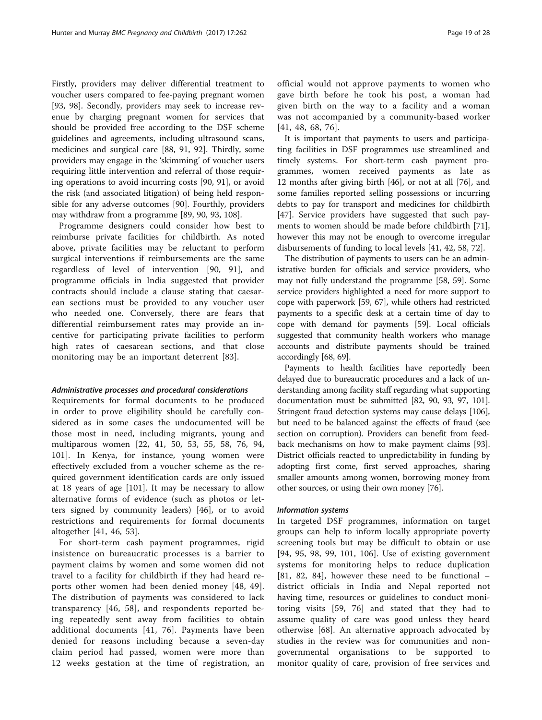Firstly, providers may deliver differential treatment to voucher users compared to fee-paying pregnant women [[93,](#page-26-0) [98\]](#page-27-0). Secondly, providers may seek to increase revenue by charging pregnant women for services that should be provided free according to the DSF scheme guidelines and agreements, including ultrasound scans, medicines and surgical care [[88, 91, 92](#page-26-0)]. Thirdly, some providers may engage in the 'skimming' of voucher users requiring little intervention and referral of those requiring operations to avoid incurring costs [\[90, 91](#page-26-0)], or avoid the risk (and associated litigation) of being held responsible for any adverse outcomes [[90\]](#page-26-0). Fourthly, providers may withdraw from a programme [\[89](#page-26-0), [90](#page-26-0), [93](#page-26-0), [108\]](#page-27-0).

Programme designers could consider how best to reimburse private facilities for childbirth. As noted above, private facilities may be reluctant to perform surgical interventions if reimbursements are the same regardless of level of intervention [[90, 91](#page-26-0)], and programme officials in India suggested that provider contracts should include a clause stating that caesarean sections must be provided to any voucher user who needed one. Conversely, there are fears that differential reimbursement rates may provide an incentive for participating private facilities to perform high rates of caesarean sections, and that close monitoring may be an important deterrent [\[83](#page-26-0)].

#### Administrative processes and procedural considerations

Requirements for formal documents to be produced in order to prove eligibility should be carefully considered as in some cases the undocumented will be those most in need, including migrants, young and multiparous women [\[22](#page-25-0), [41](#page-25-0), [50](#page-25-0), [53](#page-25-0), [55](#page-26-0), [58](#page-26-0), [76](#page-26-0), [94](#page-26-0), [101\]](#page-27-0). In Kenya, for instance, young women were effectively excluded from a voucher scheme as the required government identification cards are only issued at 18 years of age [[101\]](#page-27-0). It may be necessary to allow alternative forms of evidence (such as photos or letters signed by community leaders) [[46](#page-25-0)], or to avoid restrictions and requirements for formal documents altogether [[41, 46, 53\]](#page-25-0).

For short-term cash payment programmes, rigid insistence on bureaucratic processes is a barrier to payment claims by women and some women did not travel to a facility for childbirth if they had heard reports other women had been denied money [[48](#page-25-0), [49](#page-25-0)]. The distribution of payments was considered to lack transparency [[46,](#page-25-0) [58](#page-26-0)], and respondents reported being repeatedly sent away from facilities to obtain additional documents [\[41](#page-25-0), [76](#page-26-0)]. Payments have been denied for reasons including because a seven-day claim period had passed, women were more than 12 weeks gestation at the time of registration, an official would not approve payments to women who gave birth before he took his post, a woman had given birth on the way to a facility and a woman was not accompanied by a community-based worker [[41](#page-25-0), [48,](#page-25-0) [68](#page-26-0), [76\]](#page-26-0).

It is important that payments to users and participating facilities in DSF programmes use streamlined and timely systems. For short-term cash payment programmes, women received payments as late as 12 months after giving birth [\[46](#page-25-0)], or not at all [[76\]](#page-26-0), and some families reported selling possessions or incurring debts to pay for transport and medicines for childbirth [[47\]](#page-25-0). Service providers have suggested that such payments to women should be made before childbirth [\[71](#page-26-0)], however this may not be enough to overcome irregular disbursements of funding to local levels [\[41](#page-25-0), [42](#page-25-0), [58](#page-26-0), [72](#page-26-0)].

The distribution of payments to users can be an administrative burden for officials and service providers, who may not fully understand the programme [\[58, 59](#page-26-0)]. Some service providers highlighted a need for more support to cope with paperwork [[59](#page-26-0), [67\]](#page-26-0), while others had restricted payments to a specific desk at a certain time of day to cope with demand for payments [[59](#page-26-0)]. Local officials suggested that community health workers who manage accounts and distribute payments should be trained accordingly [\[68, 69](#page-26-0)].

Payments to health facilities have reportedly been delayed due to bureaucratic procedures and a lack of understanding among facility staff regarding what supporting documentation must be submitted [\[82, 90, 93, 97,](#page-26-0) [101](#page-27-0)]. Stringent fraud detection systems may cause delays [[106](#page-27-0)], but need to be balanced against the effects of fraud (see section on corruption). Providers can benefit from feedback mechanisms on how to make payment claims [[93](#page-26-0)]. District officials reacted to unpredictability in funding by adopting first come, first served approaches, sharing smaller amounts among women, borrowing money from other sources, or using their own money [\[76](#page-26-0)].

#### Information systems

In targeted DSF programmes, information on target groups can help to inform locally appropriate poverty screening tools but may be difficult to obtain or use [[94, 95](#page-26-0), [98, 99](#page-27-0), [101, 106](#page-27-0)]. Use of existing government systems for monitoring helps to reduce duplication [[81, 82, 84](#page-26-0)], however these need to be functional – district officials in India and Nepal reported not having time, resources or guidelines to conduct monitoring visits [[59, 76\]](#page-26-0) and stated that they had to assume quality of care was good unless they heard otherwise [[68\]](#page-26-0). An alternative approach advocated by studies in the review was for communities and nongovernmental organisations to be supported to monitor quality of care, provision of free services and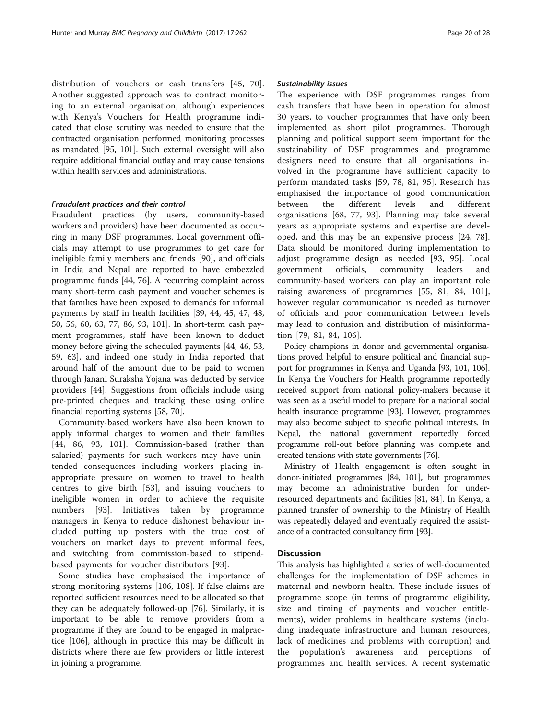distribution of vouchers or cash transfers [\[45](#page-25-0), [70](#page-26-0)]. Another suggested approach was to contract monitoring to an external organisation, although experiences with Kenya's Vouchers for Health programme indicated that close scrutiny was needed to ensure that the contracted organisation performed monitoring processes as mandated [\[95,](#page-26-0) [101](#page-27-0)]. Such external oversight will also require additional financial outlay and may cause tensions within health services and administrations.

## Fraudulent practices and their control

Fraudulent practices (by users, community-based workers and providers) have been documented as occurring in many DSF programmes. Local government officials may attempt to use programmes to get care for ineligible family members and friends [[90](#page-26-0)], and officials in India and Nepal are reported to have embezzled programme funds [\[44](#page-25-0), [76](#page-26-0)]. A recurring complaint across many short-term cash payment and voucher schemes is that families have been exposed to demands for informal payments by staff in health facilities [\[39, 44, 45, 47, 48](#page-25-0), [50,](#page-25-0) [56](#page-26-0), [60](#page-26-0), [63, 77, 86](#page-26-0), [93](#page-26-0), [101\]](#page-27-0). In short-term cash payment programmes, staff have been known to deduct money before giving the scheduled payments [\[44](#page-25-0), [46](#page-25-0), [53](#page-25-0), [59, 63\]](#page-26-0), and indeed one study in India reported that around half of the amount due to be paid to women through Janani Suraksha Yojana was deducted by service providers [[44](#page-25-0)]. Suggestions from officials include using pre-printed cheques and tracking these using online financial reporting systems [[58](#page-26-0), [70](#page-26-0)].

Community-based workers have also been known to apply informal charges to women and their families [[44,](#page-25-0) [86](#page-26-0), [93](#page-26-0), [101](#page-27-0)]. Commission-based (rather than salaried) payments for such workers may have unintended consequences including workers placing inappropriate pressure on women to travel to health centres to give birth [\[53](#page-25-0)], and issuing vouchers to ineligible women in order to achieve the requisite numbers [[93\]](#page-26-0). Initiatives taken by programme managers in Kenya to reduce dishonest behaviour included putting up posters with the true cost of vouchers on market days to prevent informal fees, and switching from commission-based to stipendbased payments for voucher distributors [[93\]](#page-26-0).

Some studies have emphasised the importance of strong monitoring systems [[106](#page-27-0), [108\]](#page-27-0). If false claims are reported sufficient resources need to be allocated so that they can be adequately followed-up [\[76](#page-26-0)]. Similarly, it is important to be able to remove providers from a programme if they are found to be engaged in malpractice [[106](#page-27-0)], although in practice this may be difficult in districts where there are few providers or little interest in joining a programme.

## Sustainability issues

The experience with DSF programmes ranges from cash transfers that have been in operation for almost 30 years, to voucher programmes that have only been implemented as short pilot programmes. Thorough planning and political support seem important for the sustainability of DSF programmes and programme designers need to ensure that all organisations involved in the programme have sufficient capacity to perform mandated tasks [[59, 78, 81, 95](#page-26-0)]. Research has emphasised the importance of good communication between the different levels and different organisations [\[68](#page-26-0), [77, 93](#page-26-0)]. Planning may take several years as appropriate systems and expertise are developed, and this may be an expensive process [\[24](#page-25-0), [78](#page-26-0)]. Data should be monitored during implementation to adjust programme design as needed [\[93](#page-26-0), [95\]](#page-26-0). Local government officials, community leaders and community-based workers can play an important role raising awareness of programmes [[55, 81](#page-26-0), [84,](#page-26-0) [101](#page-27-0)], however regular communication is needed as turnover of officials and poor communication between levels may lead to confusion and distribution of misinformation [[79, 81, 84,](#page-26-0) [106](#page-27-0)].

Policy champions in donor and governmental organisations proved helpful to ensure political and financial support for programmes in Kenya and Uganda [[93](#page-26-0), [101, 106](#page-27-0)]. In Kenya the Vouchers for Health programme reportedly received support from national policy-makers because it was seen as a useful model to prepare for a national social health insurance programme [\[93](#page-26-0)]. However, programmes may also become subject to specific political interests. In Nepal, the national government reportedly forced programme roll-out before planning was complete and created tensions with state governments [[76](#page-26-0)].

Ministry of Health engagement is often sought in donor-initiated programmes [\[84,](#page-26-0) [101](#page-27-0)], but programmes may become an administrative burden for underresourced departments and facilities [\[81, 84](#page-26-0)]. In Kenya, a planned transfer of ownership to the Ministry of Health was repeatedly delayed and eventually required the assistance of a contracted consultancy firm [[93](#page-26-0)].

#### **Discussion**

This analysis has highlighted a series of well-documented challenges for the implementation of DSF schemes in maternal and newborn health. These include issues of programme scope (in terms of programme eligibility, size and timing of payments and voucher entitlements), wider problems in healthcare systems (including inadequate infrastructure and human resources, lack of medicines and problems with corruption) and the population's awareness and perceptions of programmes and health services. A recent systematic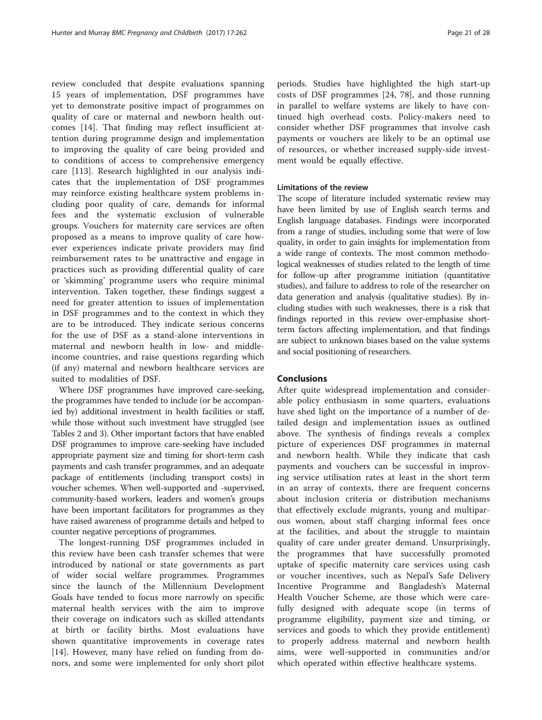review concluded that despite evaluations spanning 15 years of implementation, DSF programmes have yet to demonstrate positive impact of programmes on quality of care or maternal and newborn health outcomes [[14\]](#page-25-0). That finding may reflect insufficient attention during programme design and implementation to improving the quality of care being provided and to conditions of access to comprehensive emergency care [\[113](#page-27-0)]. Research highlighted in our analysis indicates that the implementation of DSF programmes may reinforce existing healthcare system problems including poor quality of care, demands for informal fees and the systematic exclusion of vulnerable groups. Vouchers for maternity care services are often proposed as a means to improve quality of care however experiences indicate private providers may find reimbursement rates to be unattractive and engage in practices such as providing differential quality of care or 'skimming' programme users who require minimal intervention. Taken together, these findings suggest a need for greater attention to issues of implementation in DSF programmes and to the context in which they are to be introduced. They indicate serious concerns for the use of DSF as a stand-alone interventions in maternal and newborn health in low- and middleincome countries, and raise questions regarding which (if any) maternal and newborn healthcare services are suited to modalities of DSF.

Where DSF programmes have improved care-seeking, the programmes have tended to include (or be accompanied by) additional investment in health facilities or staff, while those without such investment have struggled (see Tables [2](#page-21-0) and [3](#page-23-0)). Other important factors that have enabled DSF programmes to improve care-seeking have included appropriate payment size and timing for short-term cash payments and cash transfer programmes, and an adequate package of entitlements (including transport costs) in voucher schemes. When well-supported and -supervised, community-based workers, leaders and women's groups have been important facilitators for programmes as they have raised awareness of programme details and helped to counter negative perceptions of programmes.

The longest-running DSF programmes included in this review have been cash transfer schemes that were introduced by national or state governments as part of wider social welfare programmes. Programmes since the launch of the Millennium Development Goals have tended to focus more narrowly on specific maternal health services with the aim to improve their coverage on indicators such as skilled attendants at birth or facility births. Most evaluations have shown quantitative improvements in coverage rates [[14\]](#page-25-0). However, many have relied on funding from donors, and some were implemented for only short pilot

periods. Studies have highlighted the high start-up costs of DSF programmes [\[24](#page-25-0), [78\]](#page-26-0), and those running in parallel to welfare systems are likely to have continued high overhead costs. Policy-makers need to consider whether DSF programmes that involve cash payments or vouchers are likely to be an optimal use of resources, or whether increased supply-side investment would be equally effective.

## Limitations of the review

The scope of literature included systematic review may have been limited by use of English search terms and English language databases. Findings were incorporated from a range of studies, including some that were of low quality, in order to gain insights for implementation from a wide range of contexts. The most common methodological weaknesses of studies related to the length of time for follow-up after programme initiation (quantitative studies), and failure to address to role of the researcher on data generation and analysis (qualitative studies). By including studies with such weaknesses, there is a risk that findings reported in this review over-emphasise shortterm factors affecting implementation, and that findings are subject to unknown biases based on the value systems and social positioning of researchers.

#### Conclusions

After quite widespread implementation and considerable policy enthusiasm in some quarters, evaluations have shed light on the importance of a number of detailed design and implementation issues as outlined above. The synthesis of findings reveals a complex picture of experiences DSF programmes in maternal and newborn health. While they indicate that cash payments and vouchers can be successful in improving service utilisation rates at least in the short term in an array of contexts, there are frequent concerns about inclusion criteria or distribution mechanisms that effectively exclude migrants, young and multiparous women, about staff charging informal fees once at the facilities, and about the struggle to maintain quality of care under greater demand. Unsurprisingly, the programmes that have successfully promoted uptake of specific maternity care services using cash or voucher incentives, such as Nepal's Safe Delivery Incentive Programme and Bangladesh's Maternal Health Voucher Scheme, are those which were carefully designed with adequate scope (in terms of programme eligibility, payment size and timing, or services and goods to which they provide entitlement) to properly address maternal and newborn health aims, were well-supported in communities and/or which operated within effective healthcare systems.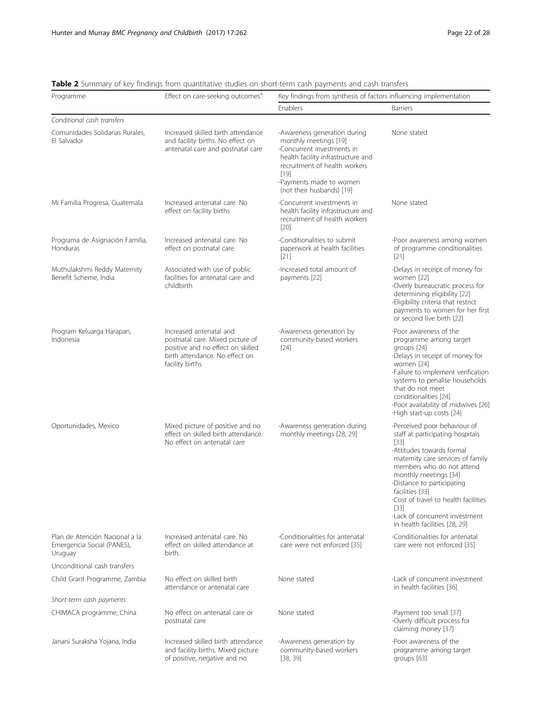| Programme                                                               | Effect on care-seeking outcomes <sup>a</sup>                                                                                                          | <b>Table 2</b> burningly of Rey Imumgs none quantitative studies on short-term cash payments and cash transiers<br>Key findings from synthesis of factors influencing implementation                                         |                                                                                                                                                                                                                                                                                                                                                                          |  |  |
|-------------------------------------------------------------------------|-------------------------------------------------------------------------------------------------------------------------------------------------------|------------------------------------------------------------------------------------------------------------------------------------------------------------------------------------------------------------------------------|--------------------------------------------------------------------------------------------------------------------------------------------------------------------------------------------------------------------------------------------------------------------------------------------------------------------------------------------------------------------------|--|--|
|                                                                         |                                                                                                                                                       | Enablers                                                                                                                                                                                                                     | <b>Barriers</b>                                                                                                                                                                                                                                                                                                                                                          |  |  |
| Conditional cash transfers                                              |                                                                                                                                                       |                                                                                                                                                                                                                              |                                                                                                                                                                                                                                                                                                                                                                          |  |  |
| Comunidades Solidarias Rurales,<br>El Salvador                          | Increased skilled birth attendance<br>and facility births. No effect on<br>antenatal care and postnatal care                                          | -Awareness generation during<br>monthly meetings [19]<br>-Concurrent investments in<br>health facility infrastructure and<br>recruitment of health workers<br>$[19]$<br>-Payments made to women<br>(not their husbands) [19] | None stated                                                                                                                                                                                                                                                                                                                                                              |  |  |
| Mi Familia Progresa, Guatemala                                          | Increased antenatal care. No<br>effect on facility births                                                                                             | -Concurrent investments in<br>health facility infrastructure and<br>recruitment of health workers<br>[20]                                                                                                                    | None stated                                                                                                                                                                                                                                                                                                                                                              |  |  |
| Programa de Asignación Familia,<br>Honduras                             | Increased antenatal care. No<br>effect on postnatal care                                                                                              | -Conditionalities to submit<br>paperwork at health facilities<br>[21]                                                                                                                                                        | -Poor awareness among women<br>of programme conditionalities<br>[21]                                                                                                                                                                                                                                                                                                     |  |  |
| Muthulakshmi Reddy Maternity<br>Benefit Scheme, India                   | Associated with use of public<br>facilities for antenatal care and<br>childbirth                                                                      | -Increased total amount of<br>payments [22]                                                                                                                                                                                  | -Delays in receipt of money for<br>women [22]<br>-Overly bureaucratic process for<br>determining eligibility [22]<br>-Eligibility criteria that restrict<br>payments to women for her first<br>or second live birth [22]                                                                                                                                                 |  |  |
| Program Keluarga Harapan,<br>Indonesia                                  | Increased antenatal and<br>postnatal care. Mixed picture of<br>positive and no effect on skilled<br>birth attendance. No effect on<br>facility births | -Awareness generation by<br>community-based workers<br>$[24]$                                                                                                                                                                | -Poor awareness of the<br>programme among target<br>groups [24]<br>-Delays in receipt of money for<br>women [24]<br>-Failure to implement verification<br>systems to penalise households<br>that do not meet<br>conditionalities [24]<br>-Poor availability of midwives [26]<br>-High start-up costs [24]                                                                |  |  |
| Oportunidades, Mexico                                                   | Mixed picture of positive and no<br>effect on skilled birth attendance.<br>No effect on antenatal care                                                | -Awareness generation during<br>monthly meetings [28, 29]                                                                                                                                                                    | -Perceived poor behaviour of<br>staff at participating hospitals<br>$[33]$<br>-Attitudes towards formal<br>maternity care services of family<br>members who do not attend<br>monthly meetings [34]<br>-Distance to participating<br>facilities [33]<br>-Cost of travel to health facilities<br>$[33]$<br>-Lack of concurrent investment<br>in health facilities [28, 29] |  |  |
| Plan de Atención Nacional a la<br>Emergencia Social (PANES),<br>Uruguay | Increased antenatal care. No<br>effect on skilled attendance at<br>birth.                                                                             | -Conditionalities for antenatal<br>care were not enforced [35]                                                                                                                                                               | -Conditionalities for antenatal<br>care were not enforced [35]                                                                                                                                                                                                                                                                                                           |  |  |
| Unconditional cash transfers                                            |                                                                                                                                                       |                                                                                                                                                                                                                              |                                                                                                                                                                                                                                                                                                                                                                          |  |  |
| Child Grant Programme, Zambia                                           | No effect on skilled birth<br>attendance or antenatal care                                                                                            | None stated                                                                                                                                                                                                                  | -Lack of concurrent investment<br>in health facilities [36]                                                                                                                                                                                                                                                                                                              |  |  |
| Short-term cash payments                                                |                                                                                                                                                       |                                                                                                                                                                                                                              |                                                                                                                                                                                                                                                                                                                                                                          |  |  |
| CHIMACA programme, China                                                | No effect on antenatal care or<br>postnatal care                                                                                                      | None stated                                                                                                                                                                                                                  | -Payment too small [37]<br>-Overly difficult process for<br>claiming money [37]                                                                                                                                                                                                                                                                                          |  |  |
| Janani Suraksha Yojana, India                                           | Increased skilled birth attendance<br>and facility births. Mixed picture<br>of positive, negative and no                                              | -Awareness generation by<br>community-based workers<br>[38, 39]                                                                                                                                                              | -Poor awareness of the<br>programme among target<br>groups [63]                                                                                                                                                                                                                                                                                                          |  |  |

<span id="page-21-0"></span>

| Table 2 Summary of key findings from quantitative studies on short-term cash payments and cash transfers |  |  |  |  |  |
|----------------------------------------------------------------------------------------------------------|--|--|--|--|--|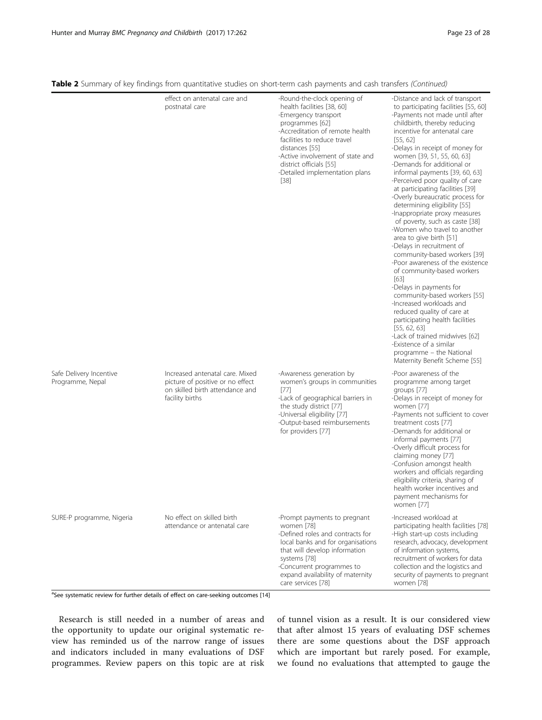|  | <b>Table 2</b> Summary of key findings from quantitative studies on short-term cash payments and cash transfers (Continued) |  |  |
|--|-----------------------------------------------------------------------------------------------------------------------------|--|--|
|  |                                                                                                                             |  |  |

|                                             | effect on antenatal care and<br>postnatal care                                                                            | -Round-the-clock opening of<br>health facilities [38, 60]<br>-Emergency transport<br>programmes [62]<br>-Accreditation of remote health<br>facilities to reduce travel<br>distances [55]<br>-Active involvement of state and<br>district officials [55]<br>-Detailed implementation plans<br>$[38]$ | -Distance and lack of transport<br>to participating facilities [55, 60]<br>-Payments not made until after<br>childbirth, thereby reducing<br>incentive for antenatal care<br>[55, 62]<br>-Delays in receipt of money for<br>women [39, 51, 55, 60, 63]<br>-Demands for additional or<br>informal payments [39, 60, 63]<br>-Perceived poor quality of care<br>at participating facilities [39]<br>-Overly bureaucratic process for<br>determining eligibility [55]<br>-Inappropriate proxy measures<br>of poverty, such as caste [38]<br>-Women who travel to another<br>area to give birth [51]<br>-Delays in recruitment of<br>community-based workers [39]<br>-Poor awareness of the existence<br>of community-based workers<br>[63]<br>-Delays in payments for<br>community-based workers [55]<br>-Increased workloads and<br>reduced quality of care at<br>participating health facilities<br>[55, 62, 63]<br>-Lack of trained midwives [62]<br>-Existence of a similar<br>programme – the National<br>Maternity Benefit Scheme [55] |
|---------------------------------------------|---------------------------------------------------------------------------------------------------------------------------|-----------------------------------------------------------------------------------------------------------------------------------------------------------------------------------------------------------------------------------------------------------------------------------------------------|------------------------------------------------------------------------------------------------------------------------------------------------------------------------------------------------------------------------------------------------------------------------------------------------------------------------------------------------------------------------------------------------------------------------------------------------------------------------------------------------------------------------------------------------------------------------------------------------------------------------------------------------------------------------------------------------------------------------------------------------------------------------------------------------------------------------------------------------------------------------------------------------------------------------------------------------------------------------------------------------------------------------------------------|
| Safe Delivery Incentive<br>Programme, Nepal | Increased antenatal care. Mixed<br>picture of positive or no effect<br>on skilled birth attendance and<br>facility births | -Awareness generation by<br>women's groups in communities<br> 77 <br>-Lack of geographical barriers in<br>the study district [77]<br>-Universal eligibility [77]<br>-Output-based reimbursements<br>for providers [77]                                                                              | -Poor awareness of the<br>programme among target<br>groups [77]<br>-Delays in receipt of money for<br>women [77]<br>-Payments not sufficient to cover<br>treatment costs [77]<br>-Demands for additional or<br>informal payments [77]<br>-Overly difficult process for<br>claiming money [77]<br>-Confusion amongst health<br>workers and officials regarding<br>eligibility criteria, sharing of<br>health worker incentives and<br>payment mechanisms for<br>women [77]                                                                                                                                                                                                                                                                                                                                                                                                                                                                                                                                                                |
| SURE-P programme, Nigeria                   | No effect on skilled birth<br>attendance or antenatal care                                                                | -Prompt payments to pregnant<br>women [78]<br>-Defined roles and contracts for<br>local banks and for organisations<br>that will develop information<br>systems [78]<br>-Concurrent programmes to<br>expand availability of maternity<br>care services [78]                                         | -Increased workload at<br>participating health facilities [78]<br>-High start-up costs including<br>research, advocacy, development<br>of information systems,<br>recruitment of workers for data<br>collection and the logistics and<br>security of payments to pregnant<br>women [78]                                                                                                                                                                                                                                                                                                                                                                                                                                                                                                                                                                                                                                                                                                                                                  |

<sup>a</sup>See systematic review for further details of effect on care-seeking outcomes [[14\]](#page-25-0)

Research is still needed in a number of areas and the opportunity to update our original systematic review has reminded us of the narrow range of issues and indicators included in many evaluations of DSF programmes. Review papers on this topic are at risk of tunnel vision as a result. It is our considered view that after almost 15 years of evaluating DSF schemes there are some questions about the DSF approach which are important but rarely posed. For example, we found no evaluations that attempted to gauge the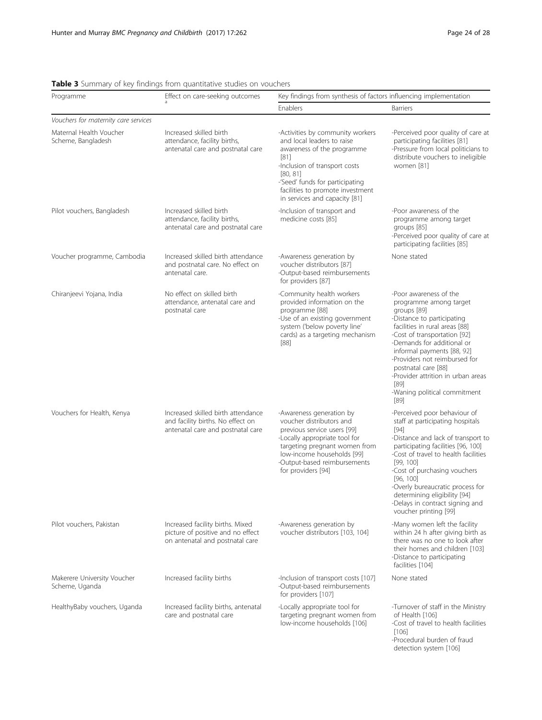| Programme                                     | Effect on care-seeking outcomes                                                                              | Key findings from synthesis of factors influencing implementation                                                                                                                                                                                           |                                                                                                                                                                                                                                                                                                                                                                                          |  |  |
|-----------------------------------------------|--------------------------------------------------------------------------------------------------------------|-------------------------------------------------------------------------------------------------------------------------------------------------------------------------------------------------------------------------------------------------------------|------------------------------------------------------------------------------------------------------------------------------------------------------------------------------------------------------------------------------------------------------------------------------------------------------------------------------------------------------------------------------------------|--|--|
|                                               |                                                                                                              | Enablers                                                                                                                                                                                                                                                    | <b>Barriers</b>                                                                                                                                                                                                                                                                                                                                                                          |  |  |
| Vouchers for maternity care services          |                                                                                                              |                                                                                                                                                                                                                                                             |                                                                                                                                                                                                                                                                                                                                                                                          |  |  |
| Maternal Health Voucher<br>Scheme, Bangladesh | Increased skilled birth<br>attendance, facility births,<br>antenatal care and postnatal care                 | -Activities by community workers<br>and local leaders to raise<br>awareness of the programme<br>$[81]$<br>-Inclusion of transport costs<br>[80, 81]<br>-'Seed' funds for participating<br>facilities to promote investment<br>in services and capacity [81] | -Perceived poor quality of care at<br>participating facilities [81]<br>-Pressure from local politicians to<br>distribute vouchers to ineligible<br>women [81]                                                                                                                                                                                                                            |  |  |
| Pilot vouchers, Bangladesh                    | Increased skilled birth<br>attendance, facility births,<br>antenatal care and postnatal care                 | -Inclusion of transport and<br>medicine costs [85]                                                                                                                                                                                                          | -Poor awareness of the<br>programme among target<br>groups [85]<br>-Perceived poor quality of care at<br>participating facilities [85]                                                                                                                                                                                                                                                   |  |  |
| Voucher programme, Cambodia                   | Increased skilled birth attendance<br>and postnatal care. No effect on<br>antenatal care.                    | -Awareness generation by<br>voucher distributors [87]<br>-Output-based reimbursements<br>for providers [87]                                                                                                                                                 | None stated                                                                                                                                                                                                                                                                                                                                                                              |  |  |
| Chiranjeevi Yojana, India                     | No effect on skilled birth<br>attendance, antenatal care and<br>postnatal care                               | -Community health workers<br>provided information on the<br>programme [88]<br>-Use of an existing government<br>system ('below poverty line'<br>cards) as a targeting mechanism<br>[88]                                                                     | -Poor awareness of the<br>programme among target<br>groups [89]<br>-Distance to participating<br>facilities in rural areas [88]<br>-Cost of transportation [92]<br>-Demands for additional or<br>informal payments [88, 92]<br>-Providers not reimbursed for<br>postnatal care [88]<br>-Provider attrition in urban areas<br>$[89]$<br>-Waning political commitment<br>$[89]$            |  |  |
| Vouchers for Health, Kenya                    | Increased skilled birth attendance<br>and facility births. No effect on<br>antenatal care and postnatal care | -Awareness generation by<br>voucher distributors and<br>previous service users [99]<br>-Locally appropriate tool for<br>targeting pregnant women from<br>low-income households [99]<br>-Output-based reimbursements<br>for providers [94]                   | -Perceived poor behaviour of<br>staff at participating hospitals<br>$[94]$<br>-Distance and lack of transport to<br>participating facilities [96, 100]<br>-Cost of travel to health facilities<br>[99, 100]<br>-Cost of purchasing vouchers<br>[96, 100]<br>-Overly bureaucratic process for<br>determining eligibility [94]<br>-Delays in contract signing and<br>voucher printing [99] |  |  |
| Pilot vouchers, Pakistan                      | Increased facility births. Mixed<br>picture of positive and no effect<br>on antenatal and postnatal care     | -Awareness generation by<br>voucher distributors [103, 104]                                                                                                                                                                                                 | -Many women left the facility<br>within 24 h after giving birth as<br>there was no one to look after<br>their homes and children [103]<br>-Distance to participating<br>facilities [104]                                                                                                                                                                                                 |  |  |
| Makerere University Voucher<br>Scheme, Uganda | Increased facility births                                                                                    | -Inclusion of transport costs [107]<br>-Output-based reimbursements<br>for providers [107]                                                                                                                                                                  | None stated                                                                                                                                                                                                                                                                                                                                                                              |  |  |
| HealthyBaby vouchers, Uganda                  | Increased facility births, antenatal<br>care and postnatal care                                              | -Locally appropriate tool for<br>targeting pregnant women from<br>low-income households [106]                                                                                                                                                               | -Turnover of staff in the Ministry<br>of Health [106]<br>-Cost of travel to health facilities<br>[106]<br>-Procedural burden of fraud                                                                                                                                                                                                                                                    |  |  |

<span id="page-23-0"></span>Table 3 Summary of key findings from quantitative studies on vouchers

-Procedural burden of fraud

detection system [\[106\]](#page-27-0)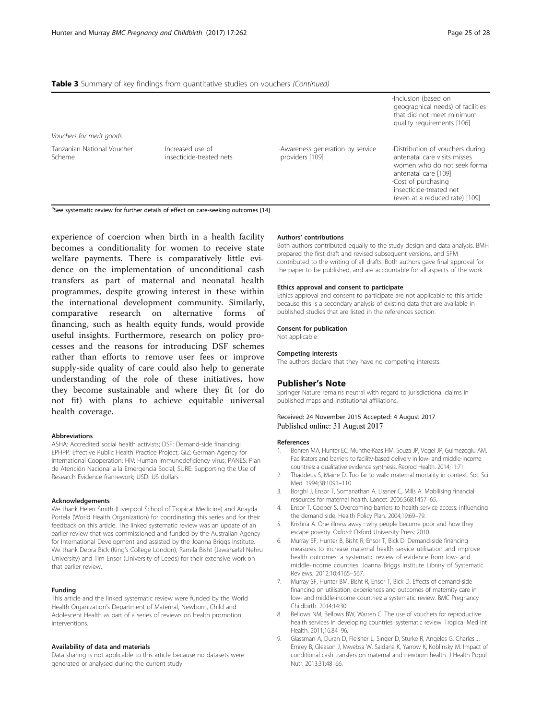## <span id="page-24-0"></span>Table 3 Summary of key findings from quantitative studies on vouchers (Continued)

|                                      |                                              |                                                     | -Inclusion (based on<br>geographical needs) of facilities<br>that did not meet minimum<br>quality requirements [106]                                                                                         |
|--------------------------------------|----------------------------------------------|-----------------------------------------------------|--------------------------------------------------------------------------------------------------------------------------------------------------------------------------------------------------------------|
| Vouchers for merit goods             |                                              |                                                     |                                                                                                                                                                                                              |
| Tanzanian National Voucher<br>Scheme | Increased use of<br>insecticide-treated nets | -Awareness generation by service<br>providers [109] | -Distribution of vouchers during<br>antenatal care visits misses<br>women who do not seek formal<br>antenatal care [109]<br>-Cost of purchasing<br>insecticide-treated net<br>(even at a reduced rate) [109] |

<sup>a</sup>See systematic review for further details of effect on care-seeking outcomes [[14\]](#page-25-0)

experience of coercion when birth in a health facility becomes a conditionality for women to receive state welfare payments. There is comparatively little evidence on the implementation of unconditional cash transfers as part of maternal and neonatal health programmes, despite growing interest in these within the international development community. Similarly, comparative research on alternative forms of financing, such as health equity funds, would provide useful insights. Furthermore, research on policy processes and the reasons for introducing DSF schemes rather than efforts to remove user fees or improve supply-side quality of care could also help to generate understanding of the role of these initiatives, how they become sustainable and where they fit (or do not fit) with plans to achieve equitable universal health coverage.

#### Abbreviations

ASHA: Accredited social health activists; DSF: Demand-side financing; EPHPP: Effective Public Health Practice Project; GIZ: German Agency for International Cooperation; HIV: Human immunodeficiency virus; PANES: Plan de Atención Nacional a la Emergencia Social; SURE: Supporting the Use of Research Evidence framework; USD: US dollars

#### Acknowledgements

We thank Helen Smith (Liverpool School of Tropical Medicine) and Anayda Portela (World Health Organization) for coordinating this series and for their feedback on this article. The linked systematic review was an update of an earlier review that was commissioned and funded by the Australian Agency for International Development and assisted by the Joanna Briggs Institute. We thank Debra Bick (King's College London), Ramila Bisht (Jawaharlal Nehru University) and Tim Ensor (University of Leeds) for their extensive work on that earlier review.

#### Funding

This article and the linked systematic review were funded by the World Health Organization's Department of Maternal, Newborn, Child and Adolescent Health as part of a series of reviews on health promotion interventions.

#### Availability of data and materials

Data sharing is not applicable to this article because no datasets were generated or analysed during the current study

#### Authors' contributions

Both authors contributed equally to the study design and data analysis. BMH prepared the first draft and revised subsequent versions, and SFM contributed to the writing of all drafts. Both authors gave final approval for the paper to be published, and are accountable for all aspects of the work.

#### Ethics approval and consent to participate

Ethics approval and consent to participate are not applicable to this article because this is a secondary analysis of existing data that are available in published studies that are listed in the references section.

#### Consent for publication

Not applicable

#### Competing interests

The authors declare that they have no competing interests.

#### Publisher's Note

Springer Nature remains neutral with regard to jurisdictional claims in published maps and institutional affiliations.

#### Received: 24 November 2015 Accepted: 4 August 2017 Published online: 31 August 2017

#### References

- 1. Bohren MA, Hunter EC, Munthe-Kaas HM, Souza JP, Vogel JP, Gulmezoglu AM. Facilitators and barriers to facility-based delivery in low- and middle-income countries: a qualitative evidence synthesis. Reprod Health. 2014;11:71.
- 2. Thaddeus S, Maine D. Too far to walk: maternal mortality in context. Soc Sci Med. 1994;38:1091–110.
- 3. Borghi J, Ensor T, Somanathan A, Lissner C, Mills A. Mobilising financial resources for maternal health. Lancet. 2006;368:1457–65.
- 4. Ensor T, Cooper S. Overcoming barriers to health service access: influencing the demand side. Health Policy Plan. 2004;19:69–79.
- 5. Krishna A. One illness away : why people become poor and how they escape poverty. Oxford: Oxford University Press; 2010.
- 6. Murray SF, Hunter B, Bisht R, Ensor T, Bick D. Demand-side financing measures to increase maternal health service utilisation and improve health outcomes: a systematic review of evidence from low- and middle-income countries. Joanna Briggs Institute Library of Systematic Reviews. 2012;10:4165–567.
- 7. Murray SF, Hunter BM, Bisht R, Ensor T, Bick D. Effects of demand-side financing on utilisation, experiences and outcomes of maternity care in low- and middle-income countries: a systematic review. BMC Pregnancy Childbirth. 2014;14:30.
- 8. Bellows NM, Bellows BW, Warren C. The use of vouchers for reproductive health services in developing countries: systematic review. Tropical Med Int Health. 2011;16:84–96.
- 9. Glassman A, Duran D, Fleisher L, Singer D, Sturke R, Angeles G, Charles J, Emrey B, Gleason J, Mwebsa W, Saldana K, Yarrow K, Koblinsky M. Impact of conditional cash transfers on maternal and newborn health. J Health Popul Nutr. 2013;31:48–66.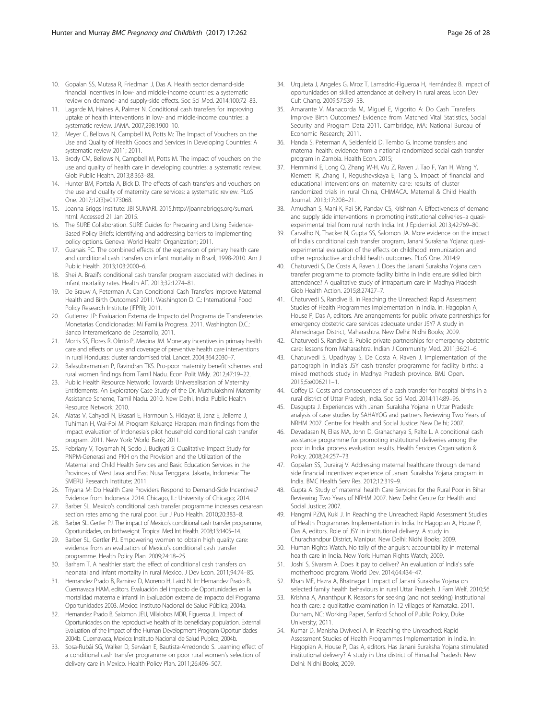- <span id="page-25-0"></span>10. Gopalan SS, Mutasa R, Friedman J, Das A. Health sector demand-side financial incentives in low- and middle-income countries: a systematic review on demand- and supply-side effects. Soc Sci Med. 2014;100:72–83.
- 11. Lagarde M, Haines A, Palmer N. Conditional cash transfers for improving uptake of health interventions in low- and middle-income countries: a systematic review. JAMA. 2007;298:1900–10.
- 12. Meyer C, Bellows N, Campbell M, Potts M: The Impact of Vouchers on the Use and Quality of Health Goods and Services in Developing Countries: A systematic review 2011; 2011.
- 13. Brody CM, Bellows N, Campbell M, Potts M. The impact of vouchers on the use and quality of health care in developing countries: a systematic review. Glob Public Health. 2013;8:363–88.
- 14. Hunter BM, Portela A, Bick D. The effects of cash transfers and vouchers on the use and quality of maternity care services: a systematic review. PLoS One. 2017;12(3):e0173068.
- 15. Joanna Briggs Institute: JBI SUMARI. 2015[.http://joannabriggs.org/sumari.](http://joannabriggs.org/sumari.html) [html.](http://joannabriggs.org/sumari.html) Accessed 21 Jan 2015.
- 16. The SURE Collaboration. SURE Guides for Preparing and Using Evidence-Based Policy Briefs: identifying and addressing barriers to implementing policy options. Geneva: World Health Organization; 2011.
- 17. Guanais FC. The combined effects of the expansion of primary health care and conditional cash transfers on infant mortality in Brazil, 1998-2010. Am J Public Health. 2013;103:2000–6.
- 18. Shei A. Brazil's conditional cash transfer program associated with declines in infant mortality rates. Health Aff. 2013;32:1274–81.
- 19. De Brauw A, Peterman A: Can Conditional Cash Transfers Improve Maternal Health and Birth Outcomes? 2011. Washington D. C.: International Food Policy Research Institute (IFPRI); 2011.
- 20. Gutierrez JP: Evaluacion Externa de Impacto del Programa de Transferencias Monetarias Condicionadas: Mi Familia Progresa. 2011. Washington D.C.: Banco Interamericano de Desarrollo; 2011.
- 21. Morris SS, Flores R, Olinto P, Medina JM. Monetary incentives in primary health care and effects on use and coverage of preventive health care interventions in rural Honduras: cluster randomised trial. Lancet. 2004;364:2030–7.
- 22. Balasubramanian P, Ravindran TKS. Pro-poor maternity benefit schemes and rural women findings from Tamil Nadu. Econ Polit Wkly. 2012;47:19–22.
- 23. Public Health Resource Network: Towards Universalisation of Maternity Entitlements: An Exploratory Case Study of the Dr. Muthulakshmi Maternity Assistance Scheme, Tamil Nadu. 2010. New Delhi, India: Public Health Resource Network; 2010.
- 24. Alatas V, Cahyadi N, Ekasari E, Harmoun S, Hidayat B, Janz E, Jellema J, Tuhiman H, Wai-Poi M. Program Keluarga Harapan: main findings from the impact evaluation of Indonesia's pilot household conditional cash transfer program. 2011. New York: World Bank; 2011.
- 25. Febriany V, Toyamah N, Sodo J, Budiyati S: Qualitative Impact Study for PNPM-Generasi and PKH on the Provision and the Utilization of the Maternal and Child Health Services and Basic Education Services in the Provinces of West Java and East Nusa Tenggara. Jakarta, Indonesia: The SMERU Research Institute; 2011.
- 26. Triyana M: Do Health Care Providers Respond to Demand-Side Incentives? Evidence from Indonesia 2014. Chicago, IL: University of Chicago; 2014.
- 27. Barber SL. Mexico's conditional cash transfer programme increases cesarean section rates among the rural poor. Eur J Pub Health. 2010;20:383–8.
- Barber SL, Gertler PJ. The impact of Mexico's conditional cash transfer programme, Oportunidades, on birthweight. Tropical Med Int Health. 2008;13:1405–14.
- 29. Barber SL, Gertler PJ. Empowering women to obtain high quality care: evidence from an evaluation of Mexico's conditional cash transfer programme. Health Policy Plan. 2009;24:18–25.
- 30. Barham T. A healthier start: the effect of conditional cash transfers on neonatal and infant mortality in rural Mexico. J Dev Econ. 2011;94:74–85.
- 31. Hernandez Prado B, Ramirez D, Moreno H, Laird N. In: Hernandez Prado B, Cuernavaca HAM, editors. Evaluación del impacto de Oportunidades en la mortalidad materna e infantil In Evaluación externa de impacto del Programa Oportunidades 2003. Mexico: Instituto Nacional de Salud Pública; 2004a.
- 32. Hernandez Prado B, Salomon JEU, Villalobos MDR, Figueroa JL. Impact of Oportunidades on the reproductive health of its beneficiary population. External Evaluation of the Impact of the Human Development Program Oportunidades 2004b. Cuernavaca, Mexico: Instituto Nacional de Salud Publica; 2004b.
- 33. Sosa-Rubâi SG, Walker D, Servâan E, Bautista-Arredondo S. Learning effect of a conditional cash transfer programme on poor rural women's selection of delivery care in Mexico. Health Policy Plan. 2011;26:496–507.
- 34. Urquieta J, Angeles G, Mroz T, Lamadrid-Figueroa H, Hernández B. Impact of oportunidades on skilled attendance at delivery in rural areas. Econ Dev Cult Chang. 2009;57:539–58.
- 35. Amarante V, Manacorda M, Miguel E, Vigorito A: Do Cash Transfers Improve Birth Outcomes? Evidence from Matched Vital Statistics, Social Security and Program Data 2011. Cambridge, MA: National Bureau of Economic Research; 2011.
- 36. Handa S, Peterman A, Seidenfeld D, Tembo G. Income transfers and maternal health: evidence from a national randomized social cash transfer program in Zambia. Health Econ. 2015;
- 37. Hemminki E, Long Q, Zhang W-H, Wu Z, Raven J, Tao F, Yan H, Wang Y, Klemetti R, Zhang T, Regushevskaya E, Tang S. Impact of financial and educational interventions on maternity care: results of cluster randomized trials in rural China, CHIMACA. Maternal & Child Health Journal. 2013;17:208–21.
- 38. Amudhan S, Mani K, Rai SK, Pandav CS, Krishnan A. Effectiveness of demand and supply side interventions in promoting institutional deliveries–a quasiexperimental trial from rural north India. Int J Epidemiol. 2013;42:769–80.
- 39. Carvalho N, Thacker N, Gupta SS, Salomon JA. More evidence on the impact of India's conditional cash transfer program, Janani Suraksha Yojana: quasiexperimental evaluation of the effects on childhood immunization and other reproductive and child health outcomes. PLoS One. 2014;9
- 40. Chaturvedi S, De Costa A, Raven J. Does the Janani Suraksha Yojana cash transfer programme to promote facility births in India ensure skilled birth attendance? A qualitative study of intrapartum care in Madhya Pradesh. Glob Health Action. 2015;8:27427–7.
- 41. Chaturvedi S, Randive B. In Reaching the Unreached: Rapid Assessment Studies of Health Programmes Implementation in India. In: Hagopian A, House P, Das A, editors. Are arrangements for public private partnerships for emergency obstetric care services adequate under JSY? A study in Ahmednagar District, Maharashtra. New Delhi: Nidhi Books; 2009.
- 42. Chaturvedi S, Randive B. Public private partnerships for emergency obstetric care: lessons from Maharashtra. Indian J Community Med. 2011;36:21–6.
- 43. Chaturvedi S, Upadhyay S, De Costa A, Raven J. Implementation of the partograph in India's JSY cash transfer programme for facility births: a mixed methods study in Madhya Pradesh province. BMJ Open. 2015;5:e006211–1.
- 44. Coffey D. Costs and consequences of a cash transfer for hospital births in a rural district of Uttar Pradesh, India. Soc Sci Med. 2014;114:89–96.
- 45. Dasgupta J. Experiences with Janani Suraksha Yojana in Uttar Pradesh: analysis of case studies by SAHAYOG and partners Reviewing Two Years of NRHM 2007. Centre for Health and Social Justice: New Delhi; 2007.
- 46. Devadasan N, Elias MA, John D, Grahacharya S, Ralte L. A conditional cash assistance programme for promoting institutional deliveries among the poor in India: process evaluation results. Health Services Organisation & Policy. 2008;24:257–73.
- 47. Gopalan SS, Durairaj V. Addressing maternal healthcare through demand side financial incentives: experience of Janani Suraksha Yojana program in India. BMC Health Serv Res. 2012;12:319–9.
- 48. Gupta A. Study of maternal health Care Services for the Rural Poor in Bihar Reviewing Two Years of NRHM 2007. New Delhi: Centre for Health and Social Justice; 2007.
- 49. Hangmi PZM, Kuki J. In Reaching the Unreached: Rapid Assessment Studies of Health Programmes Implementation in India. In: Hagopian A, House P, Das A, editors. Role of JSY in institutional delivery. A study in Churachandpur District, Manipur. New Delhi: Nidhi Books; 2009.
- 50. Human Rights Watch. No tally of the anguish: accountability in maternal health care in India. New York: Human Rights Watch; 2009.
- 51. Joshi S, Sivaram A. Does it pay to deliver? An evaluation of India's safe motherhood program. World Dev. 2014;64:434–47.
- 52. Khan ME, Hazra A, Bhatnagar I. Impact of Janani Suraksha Yojana on selected family health behaviours in rural Uttar Pradesh. J Fam Welf. 2010;56
- 53. Krishna A, Ananthpur K. Reasons for seeking (and not seeking) institutional health care: a qualitative examination in 12 villages of Karnataka. 2011. Durham, NC: Working Paper, Sanford School of Public Policy, Duke University; 2011.
- 54. Kumar D, Manisha Dwivedi A. In Reaching the Unreached: Rapid Assessment Studies of Health Programmes Implementation in India. In: Hagopian A, House P, Das A, editors. Has Janani Suraksha Yojana stimulated institutional delivery? A study in Una district of Himachal Pradesh. New Delhi: Nidhi Books; 2009.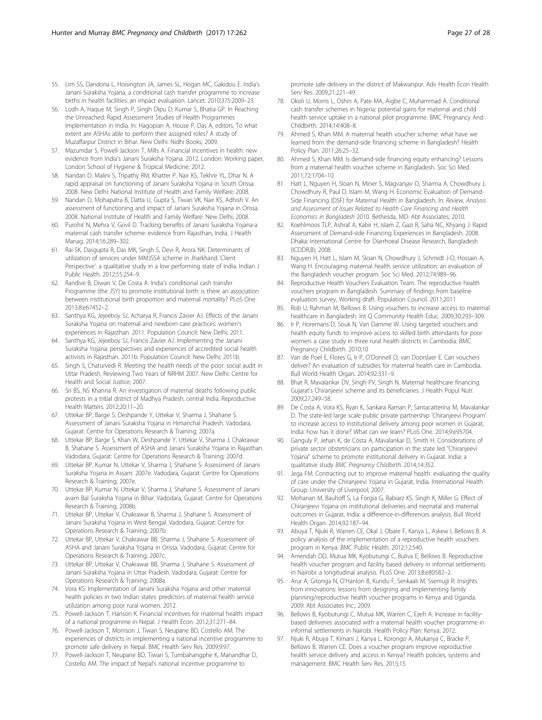- <span id="page-26-0"></span>55. Lim SS, Dandona L, Hoisington JA, James SL, Hogan MC, Gakidou E. India's Janani Suraksha Yojana, a conditional cash transfer programme to increase births in health facilities: an impact evaluation. Lancet. 2010;375:2009–23.
- 56. Lodh A, Haque M, Singh P, Singh Dipu D, Kumar S, Bhatia GP. In Reaching the Unreached: Rapid Assessment Studies of Health Programmes Implementation in India. In: Hagopian A, House P, Das A, editors. To what extent are ASHAs able to perform their assigned roles? A study of Muzaffarpur District in Bihar. New Delhi: Nidhi Books; 2009.
- 57. Mazumdar S, Powell-Jackson T, Mills A. Financial incentives in health: new evidence from India's Janani Suraksha Yojana. 2012. London: Working paper, London School of Hygiene & Tropical Medicine; 2012.
- 58. Nandan D, Malini S, Tripathy RM, Khatter P, Nair KS, Tekhre YL, Dhar N. A rapid appraisal on functioning of Janani Suraksha Yojana in South Orissa. 2008. New Delhi: National Institute of Health and Family Welfare; 2008.
- 59. Nandan D, Mohapatra B, Datta U, Gupta S, Tiwari VK, Nair KS, Adhish V. An assessment of functioning and impact of Janani Suraksha Yojana in Orissa. 2008. National Institute of Health and Family Welfare: New Delhi; 2008.
- 60. Purohit N, Mehra V, Govil D. Tracking benefits of Janani Suraksha Yojana-a maternal cash transfer scheme: evidence from Rajasthan, India. J Health Manag. 2014;16:289–302.
- 61. Rai SK, Dasgupta R, Das MK, Singh S, Devi R, Arora NK. Determinants of utilization of services under MMJSSA scheme in Jharkhand 'Client Perspective': a qualitative study in a low performing state of India. Indian J Public Health. 2012;55:254–9.
- 62. Randive B, Diwan V, De Costa A. India's conditional cash transfer Programme (the JSY) to promote institutional birth: is there an association between institutional birth proportion and maternal mortality? PLoS One. 2013;8:e67452–2.
- 63. Santhya KG, Jejeeboy SJ, Acharya R, Francis Zavier AJ. Effects of the Janani Suraksha Yojana on maternal and newborn care practices: women's experiences in Rajasthan. 2011. Population Council: New Delhi; 2011.
- 64. Santhya KG, Jejeeboy SJ, Francis Zavier AJ. Implementing the Janani Suraksha Yojana: perspectives and experiences of accredited social health activists in Rajasthan. 2011b. Population Council: New Delhi; 2011b.
- 65. Singh S, Chaturvedi R. Meeting the health needs of the poor: social audit in Uttar Pradesh. Reviewing Two Years of NRHM 2007. New Delhi: Centre for Health and Social Justice; 2007.
- 66. Sri BS, NS Khanna R. An investigation of maternal deaths following public protests in a tribal district of Madhya Pradesh, central India. Reproductive Health Matters. 2012;20:11–20.
- 67. Uttekar BP, Barge S, Deshpande Y, Uttekar V, Sharma J, Shahane S. Assessment of Janani Suraksha Yojana in Himanchal Pradesh. Vadodara, Gujarat: Centre for Operations Research & Training; 2007a.
- 68. Uttekar BP, Barge S, Khan W, Deshpande Y, Uttekar V, Sharma J, Chakrawar B, Shahane S. Assessment of ASHA and Janani Suraksha Yojana in Rajasthan. Vadodara, Gujarat: Centre for Operations Research & Training; 2007d.
- 69. Uttekar BP, Kumar N, Uttekar V, Sharma J, Shahane S: Assessment of Janani Suraksha Yojana in Assam. 2007e. Vadodara, Gujarat: Centre for Operations Research & Training; 2007e.
- 70. Uttekar BP, Kumar N, Uttekar V, Sharma J, Shahane S. Assessment of Janani avam Bal Suraksha Yojana in Bihar. Vadodara, Gujarat: Centre for Operations Research & Training; 2008b.
- 71. Uttekar BP, Uttekar V, Chakrawar B, Sharma J, Shahane S. Assessment of Janani Suraksha Yojana in West Bengal. Vadodara, Gujarat: Centre for Operations Research & Training; 2007b.
- 72. Uttekar BP, Uttekar V, Chakrawar BB, Sharma J, Shahane S. Assessment of ASHA and Janani Suraksha Yojana in Orissa. Vadodara, Gujarat: Centre for Operations Research & Training; 2007c.
- 73. Uttekar BP, Uttekar V, Chakrawar BB, Sharma J, Shahane S. Assessment of Janani Suraksha Yojana in Uttar Pradesh. Vadodara, Gujarat: Centre for Operations Research & Training; 2008a.
- 74. Vora KS: Implementation of Janani Suraksha Yojana and other maternal health policies in two Indian states: predictors of maternal health service utilization among poor rural women. 2012.
- 75. Powell-Jackson T, Hanson K. Financial incentives for maternal health: impact of a national programme in Nepal. J Health Econ. 2012;31:271–84.
- 76. Powell-Jackson T, Morrison J, Tiwari S, Neupane BD, Costello AM. The experiences of districts in implementing a national incentive programme to promote safe delivery in Nepal. BMC Health Serv Res. 2009;9:97.
- 77. Powell-Jackson T, Neupane BD, Tiwari S, Tumbahangphe K, Manandhar D, Costello AM. The impact of Nepal's national incentive programme to

promote safe delivery in the district of Makwanpur. Adv Health Econ Health Serv Res. 2009;21:221–49.

- 78. Okoli U, Morris L, Oshin A, Pate MA, Aigbe C, Muhammad A. Conditional cash transfer schemes in Nigeria: potential gains for maternal and child health service uptake in a national pilot programme. BMC Pregnancy And Childbirth. 2014;14:408–8.
- 79. Ahmed S, Khan MM. A maternal health voucher scheme: what have we learned from the demand-side financing scheme in Bangladesh? Health Policy Plan. 2011;26:25–32.
- 80. Ahmed S, Khan MM. Is demand-side financing equity enhancing? Lessons from a maternal health voucher scheme in Bangladesh. Soc Sci Med. 2011;72:1704–10.
- 81. Hatt L, Nguyen H, Sloan N, Miner S, Magvanjav O, Sharma A, Chowdhury J, Chowdhury R, Paul D, Islam M, Wang H. Economic Evaluation of Demand-Side Financing (DSF) for Maternal Health in Bangladesh. In: Review, Analysis and Assessment of Issues Related to Health Care Financing and Health Economics in Bangladesh 2010. Bethesda, MD: Abt Associates; 2010.
- 82. Koehlmoos TLP, Ashraf A, Kabir H, Islam Z, Gazi R, Saha NC, Khyang J: Rapid Assessment of Demand-side Financing Experiences in Bangladesh. 2008. Dhaka: International Centre for Diarrhoeal Disease Research, Bangladesh (ICDDR,B); 2008.
- 83. Nguyen H, Hatt L, Islam M, Sloan N, Chowdhury J, Schmidt J-O, Hossain A, Wang H. Encouraging maternal health service utilization: an evaluation of the Bangladesh voucher program. Soc Sci Med. 2012;74:989–96.
- Reproductive Health Vouchers Evaluation Team. The reproductive health vouchers program in Bangladesh. Summary of findings from baseline evaluation survey, Working draft. Population Council. 2011;2011
- 85. Rob U, Rahman M, Bellows B. Using vouchers to increase access to maternal healthcare in Bangladesh. Int Q Community Health Educ. 2009;30:293–309.
- 86. Ir P, Horemans D, Souk N, Van Damme W. Using targeted vouchers and health equity funds to improve access to skilled birth attendants for poor women: a case study in three rural health districts in Cambodia. BMC Pregnancy Childbirth. 2010;10
- 87. Van de Poel E, Flores G, Ir P, O'Donnell O, van Doorslaer E. Can vouchers deliver? An evaluation of subsidies for maternal health care in Cambodia. Bull World Health Organ. 2014;92:331–9.
- 88. Bhat R, Mavalankar DV, Singh PV, Singh N. Maternal healthcare financing: Gujarat's Chiranjeevi scheme and its beneficiaries. J Health Popul Nutr. 2009;27:249–58.
- 89. De Costa A, Vora KS, Ryan K, Sankara Raman P, Santacatterina M, Mavalankar D. The state-led large scale public private partnership 'Chiranjeevi Program' to increase access to institutional delivery among poor women in Gujarat, India: how has it done? What can we learn? PLoS One. 2014;9:e95704.
- 90. Ganguly P, Jehan K, de Costa A, Mavalankar D, Smith H. Considerations of private sector obstetricians on participation in the state led "Chiranjeevi Yojana" scheme to promote institutional delivery in Gujarat. India: a qualitative study BMC Pregnancy Childbirth. 2014;14:352.
- 91. Jega FM. Contracting out to improve maternal health: evaluating the quality of care under the Chiranjeevi Yojana in Gujarat, India. International Health Group: University of Liverpool; 2007.
- 92. Mohanan M, Bauhoff S, La Forgia G, Babiarz KS, Singh K, Miller G. Effect of Chiranjeevi Yojana on institutional deliveries and neonatal and maternal outcomes in Gujarat, India: a difference-in-differences analysis. Bull World Health Organ. 2014;92:187–94.
- 93. Abuya T, Njuki R, Warren CE, Okal J, Obare F, Kanya L, Askew I, Bellows B. A policy analysis of the implementation of a reproductive health vouchers program in Kenya. BMC Public Health. 2012;12:540.
- 94. Amendah DD, Mutua MK, Kyobutungi C, Buliva E, Bellows B. Reproductive health voucher program and facility based delivery in informal settlements in Nairobi: a longitudinal analysis. PLoS One. 2013;8:e80582–2.
- 95. Arur A, Gitonga N, O'Hanlon B, Kundu F, Senkaali M, Ssemujji R: Insights from innovations: lessons from designing and implementing family planning/reproductive health voucher programs in Kenya and Uganda. 2009: Abt Associates Inc.; 2009.
- Bellows B, Kyobutungi C, Mutua MK, Warren C, Ezeh A. Increase in facilitybased deliveries associated with a maternal health voucher programme in informal settlements in Nairobi. Health Policy Plan: Kenya; 2012.
- 97. Njuki R, Abuya T, Kimani J, Kanya L, Korongo A, Mukanya C, Bracke P, Bellows B, Warren CE. Does a voucher program improve reproductive health service delivery and access in Kenya? Health policies, systems and management. BMC Health Serv Res. 2015;15